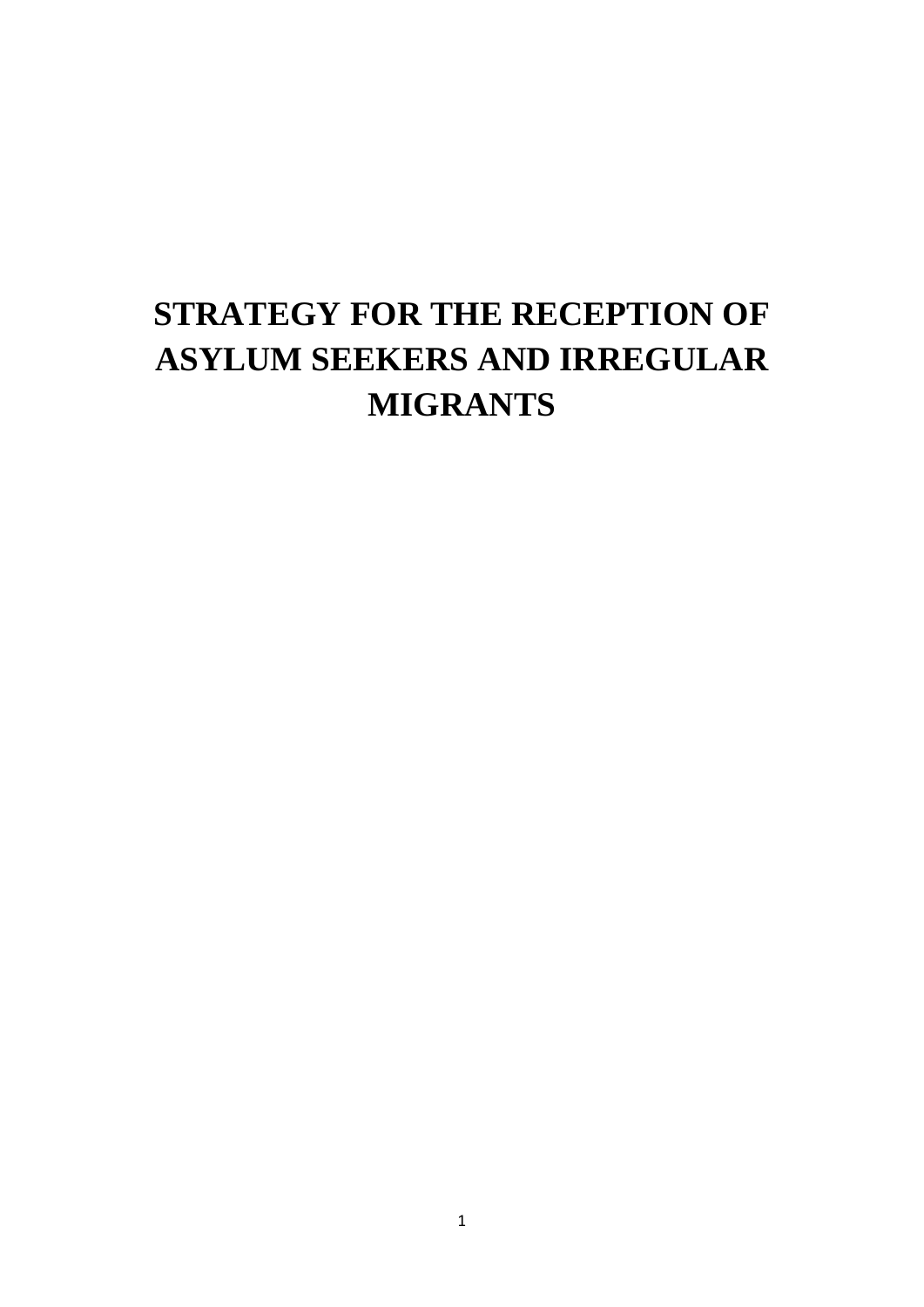# **STRATEGY FOR THE RECEPTION OF ASYLUM SEEKERS AND IRREGULAR MIGRANTS**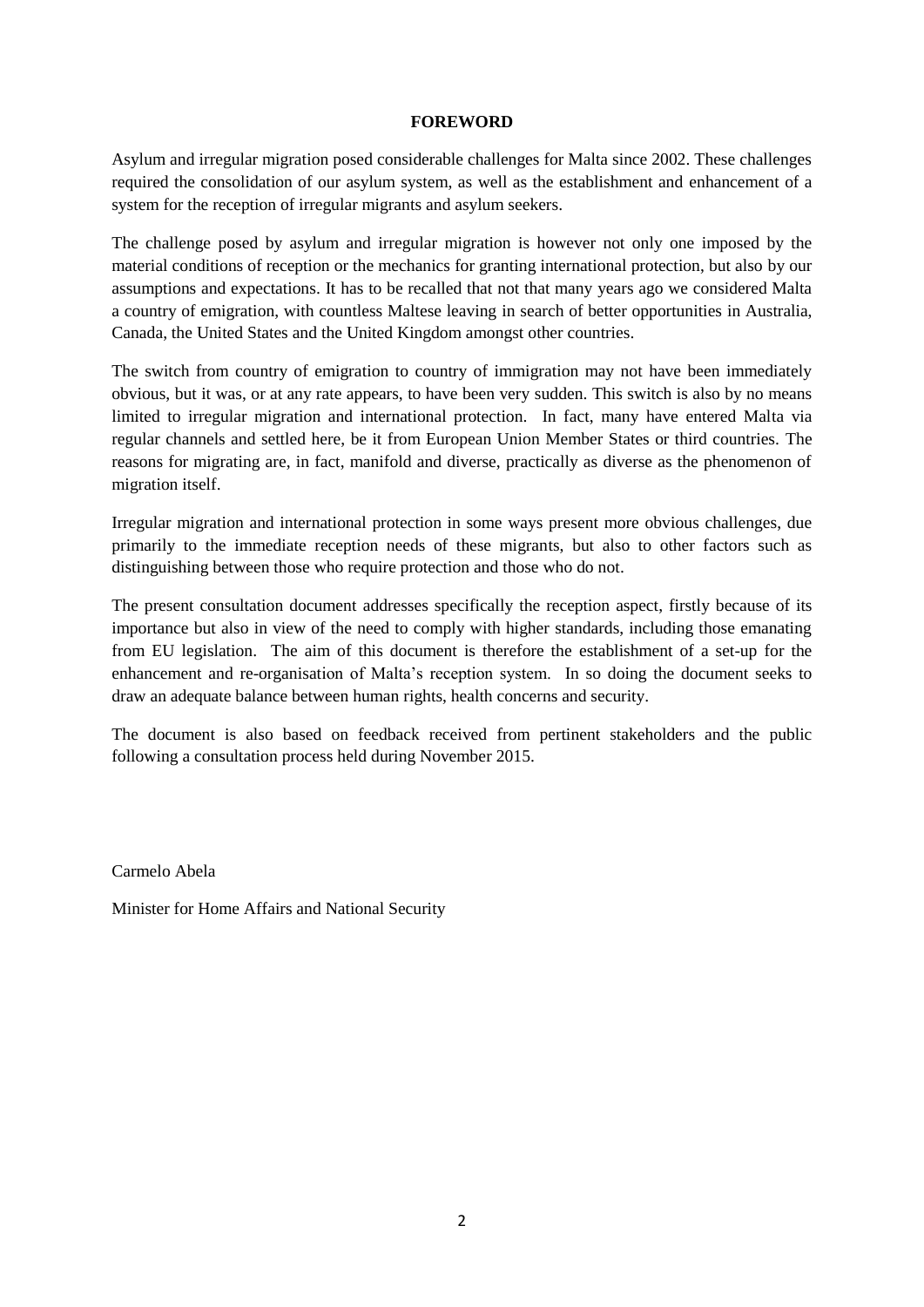#### **FOREWORD**

Asylum and irregular migration posed considerable challenges for Malta since 2002. These challenges required the consolidation of our asylum system, as well as the establishment and enhancement of a system for the reception of irregular migrants and asylum seekers.

The challenge posed by asylum and irregular migration is however not only one imposed by the material conditions of reception or the mechanics for granting international protection, but also by our assumptions and expectations. It has to be recalled that not that many years ago we considered Malta a country of emigration, with countless Maltese leaving in search of better opportunities in Australia, Canada, the United States and the United Kingdom amongst other countries.

The switch from country of emigration to country of immigration may not have been immediately obvious, but it was, or at any rate appears, to have been very sudden. This switch is also by no means limited to irregular migration and international protection. In fact, many have entered Malta via regular channels and settled here, be it from European Union Member States or third countries. The reasons for migrating are, in fact, manifold and diverse, practically as diverse as the phenomenon of migration itself.

Irregular migration and international protection in some ways present more obvious challenges, due primarily to the immediate reception needs of these migrants, but also to other factors such as distinguishing between those who require protection and those who do not.

The present consultation document addresses specifically the reception aspect, firstly because of its importance but also in view of the need to comply with higher standards, including those emanating from EU legislation. The aim of this document is therefore the establishment of a set-up for the enhancement and re-organisation of Malta's reception system. In so doing the document seeks to draw an adequate balance between human rights, health concerns and security.

The document is also based on feedback received from pertinent stakeholders and the public following a consultation process held during November 2015.

Carmelo Abela

Minister for Home Affairs and National Security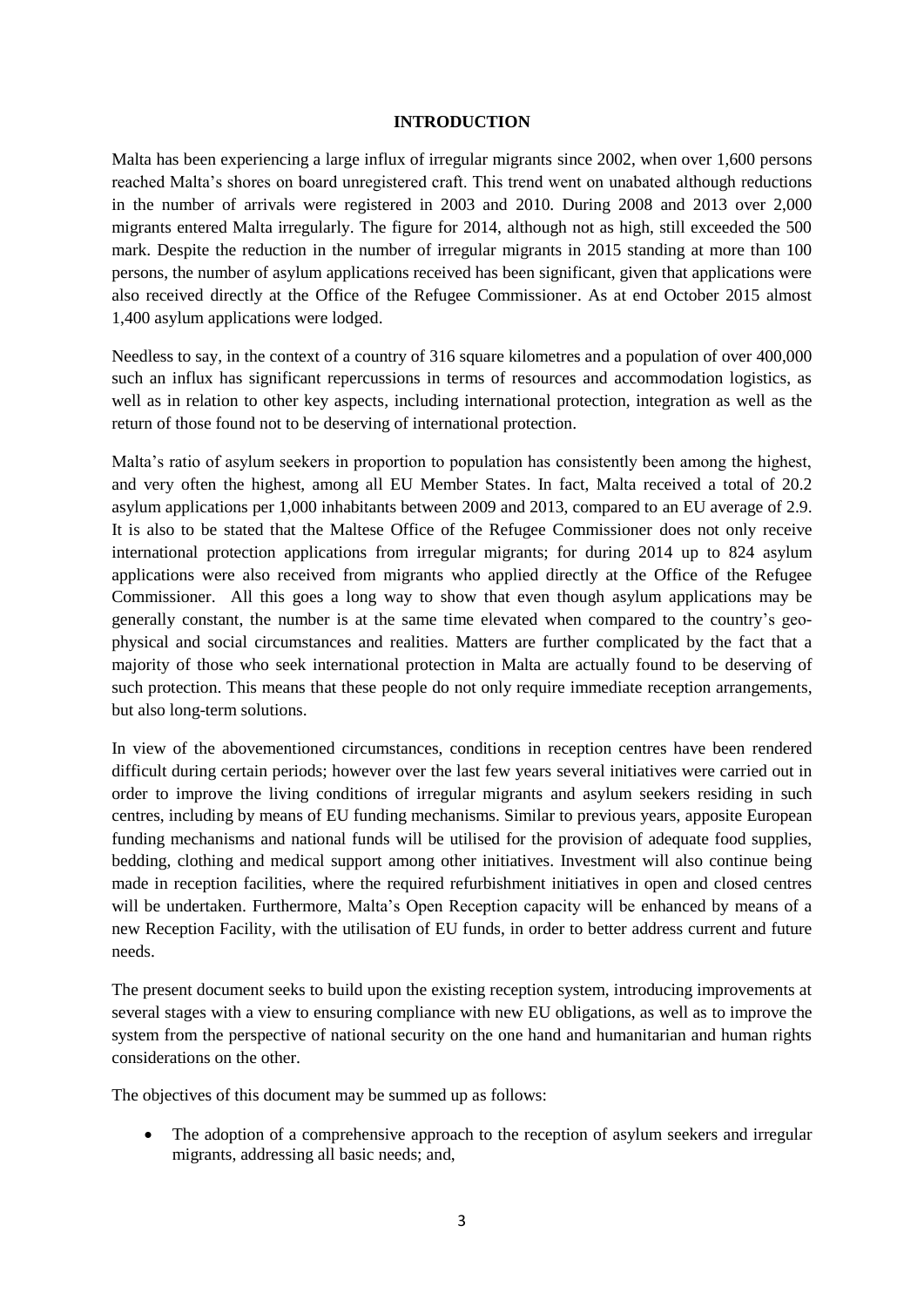#### **INTRODUCTION**

Malta has been experiencing a large influx of irregular migrants since 2002, when over 1,600 persons reached Malta's shores on board unregistered craft. This trend went on unabated although reductions in the number of arrivals were registered in 2003 and 2010. During 2008 and 2013 over 2,000 migrants entered Malta irregularly. The figure for 2014, although not as high, still exceeded the 500 mark. Despite the reduction in the number of irregular migrants in 2015 standing at more than 100 persons, the number of asylum applications received has been significant, given that applications were also received directly at the Office of the Refugee Commissioner. As at end October 2015 almost 1,400 asylum applications were lodged.

Needless to say, in the context of a country of 316 square kilometres and a population of over 400,000 such an influx has significant repercussions in terms of resources and accommodation logistics, as well as in relation to other key aspects, including international protection, integration as well as the return of those found not to be deserving of international protection.

Malta's ratio of asylum seekers in proportion to population has consistently been among the highest, and very often the highest, among all EU Member States. In fact, Malta received a total of 20.2 asylum applications per 1,000 inhabitants between 2009 and 2013, compared to an EU average of 2.9. It is also to be stated that the Maltese Office of the Refugee Commissioner does not only receive international protection applications from irregular migrants; for during 2014 up to 824 asylum applications were also received from migrants who applied directly at the Office of the Refugee Commissioner. All this goes a long way to show that even though asylum applications may be generally constant, the number is at the same time elevated when compared to the country's geophysical and social circumstances and realities. Matters are further complicated by the fact that a majority of those who seek international protection in Malta are actually found to be deserving of such protection. This means that these people do not only require immediate reception arrangements, but also long-term solutions.

In view of the abovementioned circumstances, conditions in reception centres have been rendered difficult during certain periods; however over the last few years several initiatives were carried out in order to improve the living conditions of irregular migrants and asylum seekers residing in such centres, including by means of EU funding mechanisms. Similar to previous years, apposite European funding mechanisms and national funds will be utilised for the provision of adequate food supplies, bedding, clothing and medical support among other initiatives. Investment will also continue being made in reception facilities, where the required refurbishment initiatives in open and closed centres will be undertaken. Furthermore, Malta's Open Reception capacity will be enhanced by means of a new Reception Facility, with the utilisation of EU funds, in order to better address current and future needs.

The present document seeks to build upon the existing reception system, introducing improvements at several stages with a view to ensuring compliance with new EU obligations, as well as to improve the system from the perspective of national security on the one hand and humanitarian and human rights considerations on the other.

The objectives of this document may be summed up as follows:

 The adoption of a comprehensive approach to the reception of asylum seekers and irregular migrants, addressing all basic needs; and,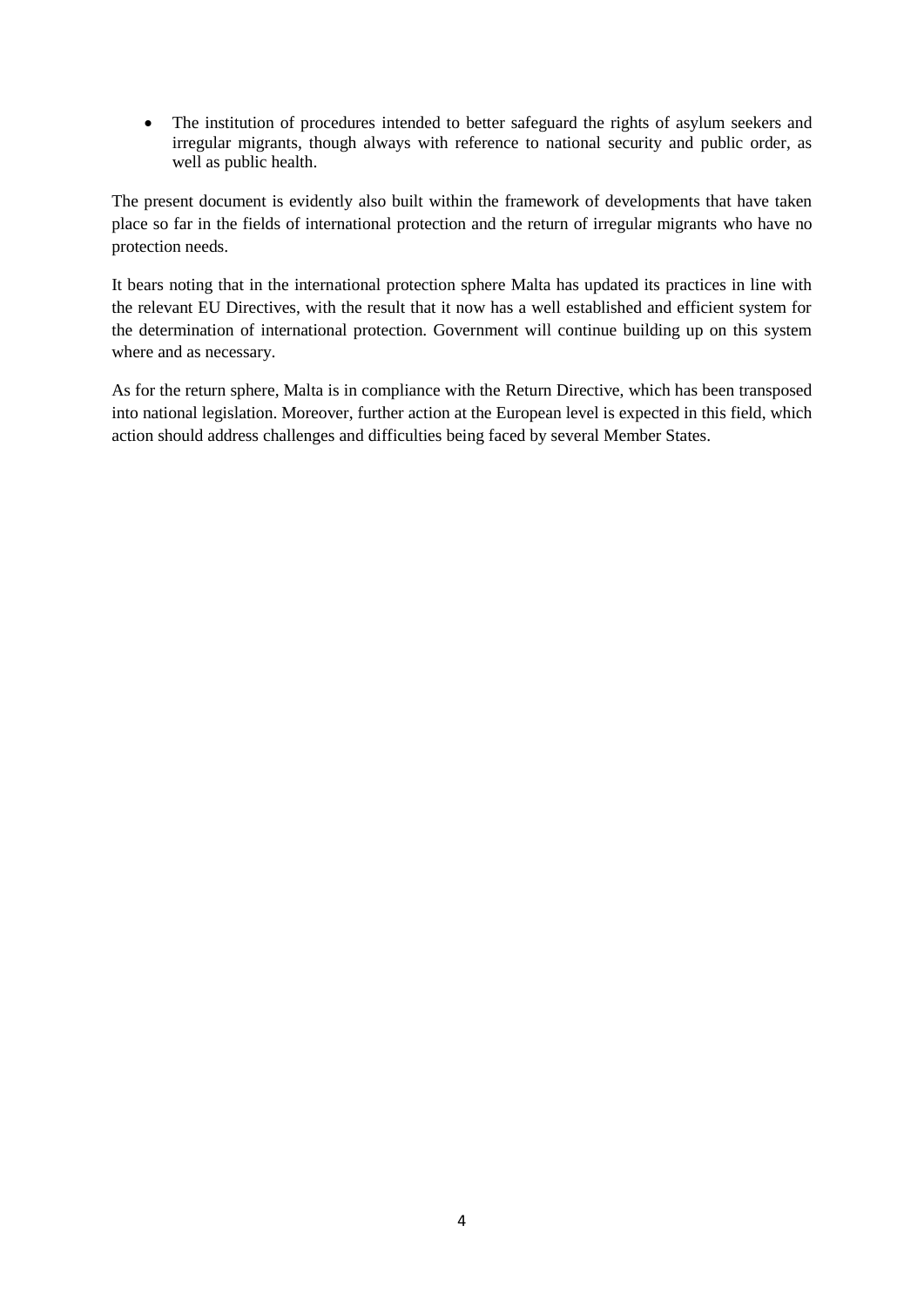• The institution of procedures intended to better safeguard the rights of asylum seekers and irregular migrants, though always with reference to national security and public order, as well as public health.

The present document is evidently also built within the framework of developments that have taken place so far in the fields of international protection and the return of irregular migrants who have no protection needs.

It bears noting that in the international protection sphere Malta has updated its practices in line with the relevant EU Directives, with the result that it now has a well established and efficient system for the determination of international protection. Government will continue building up on this system where and as necessary.

As for the return sphere, Malta is in compliance with the Return Directive, which has been transposed into national legislation. Moreover, further action at the European level is expected in this field, which action should address challenges and difficulties being faced by several Member States.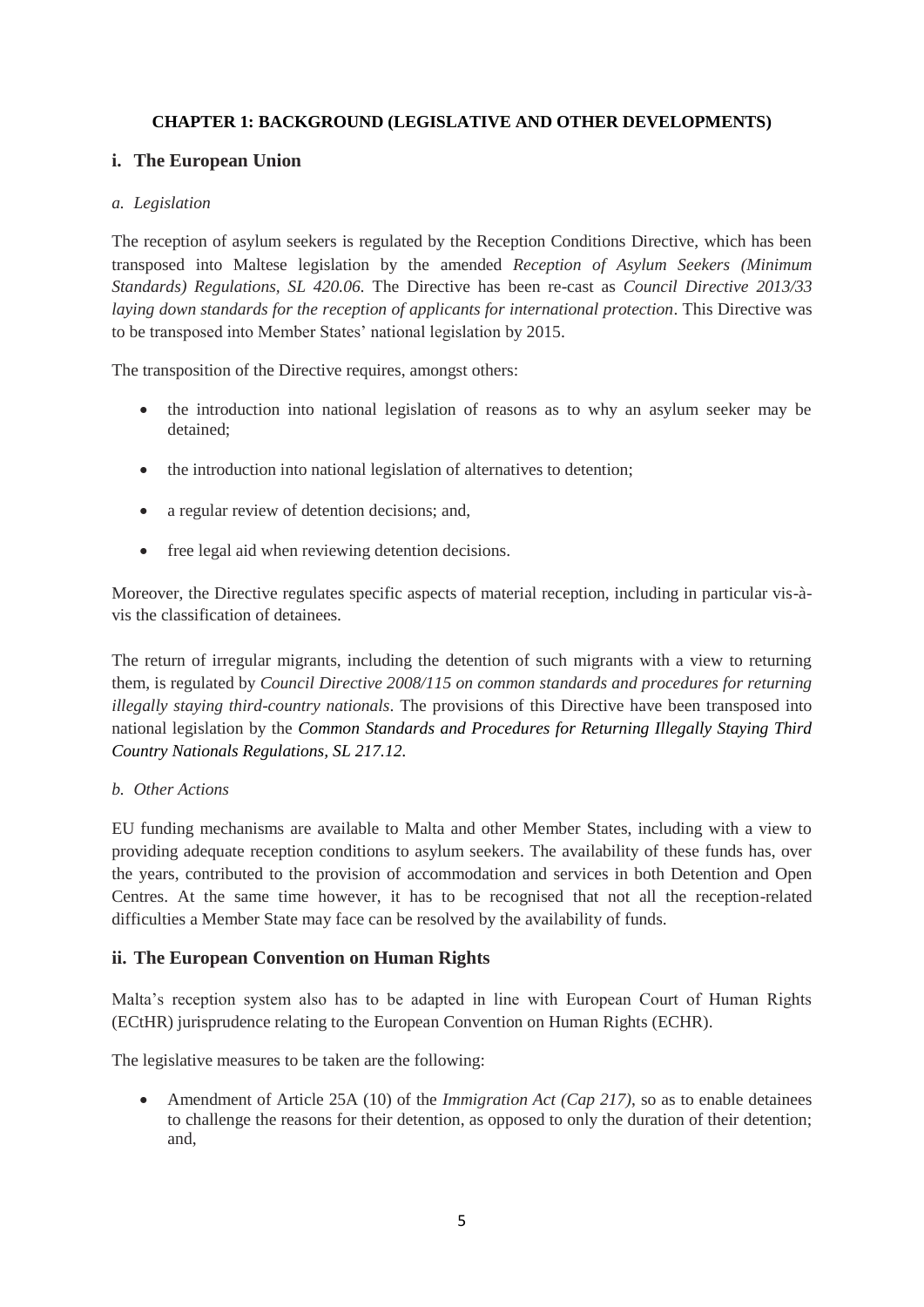## **CHAPTER 1: BACKGROUND (LEGISLATIVE AND OTHER DEVELOPMENTS)**

## **i. The European Union**

#### *a. Legislation*

The reception of asylum seekers is regulated by the Reception Conditions Directive, which has been transposed into Maltese legislation by the amended *Reception of Asylum Seekers (Minimum Standards) Regulations, SL 420.06.* The Directive has been re-cast as *Council Directive 2013/33 laying down standards for the reception of applicants for international protection*. This Directive was to be transposed into Member States' national legislation by 2015.

The transposition of the Directive requires, amongst others:

- the introduction into national legislation of reasons as to why an asylum seeker may be detained;
- the introduction into national legislation of alternatives to detention;
- a regular review of detention decisions; and,
- free legal aid when reviewing detention decisions.

Moreover, the Directive regulates specific aspects of material reception, including in particular vis-àvis the classification of detainees.

The return of irregular migrants, including the detention of such migrants with a view to returning them, is regulated by *Council Directive 2008/115 on common standards and procedures for returning illegally staying third-country nationals*. The provisions of this Directive have been transposed into national legislation by the *Common Standards and Procedures for Returning Illegally Staying Third Country Nationals Regulations, SL 217.12.*

#### *b. Other Actions*

EU funding mechanisms are available to Malta and other Member States, including with a view to providing adequate reception conditions to asylum seekers. The availability of these funds has, over the years, contributed to the provision of accommodation and services in both Detention and Open Centres. At the same time however, it has to be recognised that not all the reception-related difficulties a Member State may face can be resolved by the availability of funds.

## **ii. The European Convention on Human Rights**

Malta's reception system also has to be adapted in line with European Court of Human Rights (ECtHR) jurisprudence relating to the European Convention on Human Rights (ECHR).

The legislative measures to be taken are the following:

 Amendment of Article 25A (10) of the *Immigration Act (Cap 217)*, so as to enable detainees to challenge the reasons for their detention, as opposed to only the duration of their detention; and,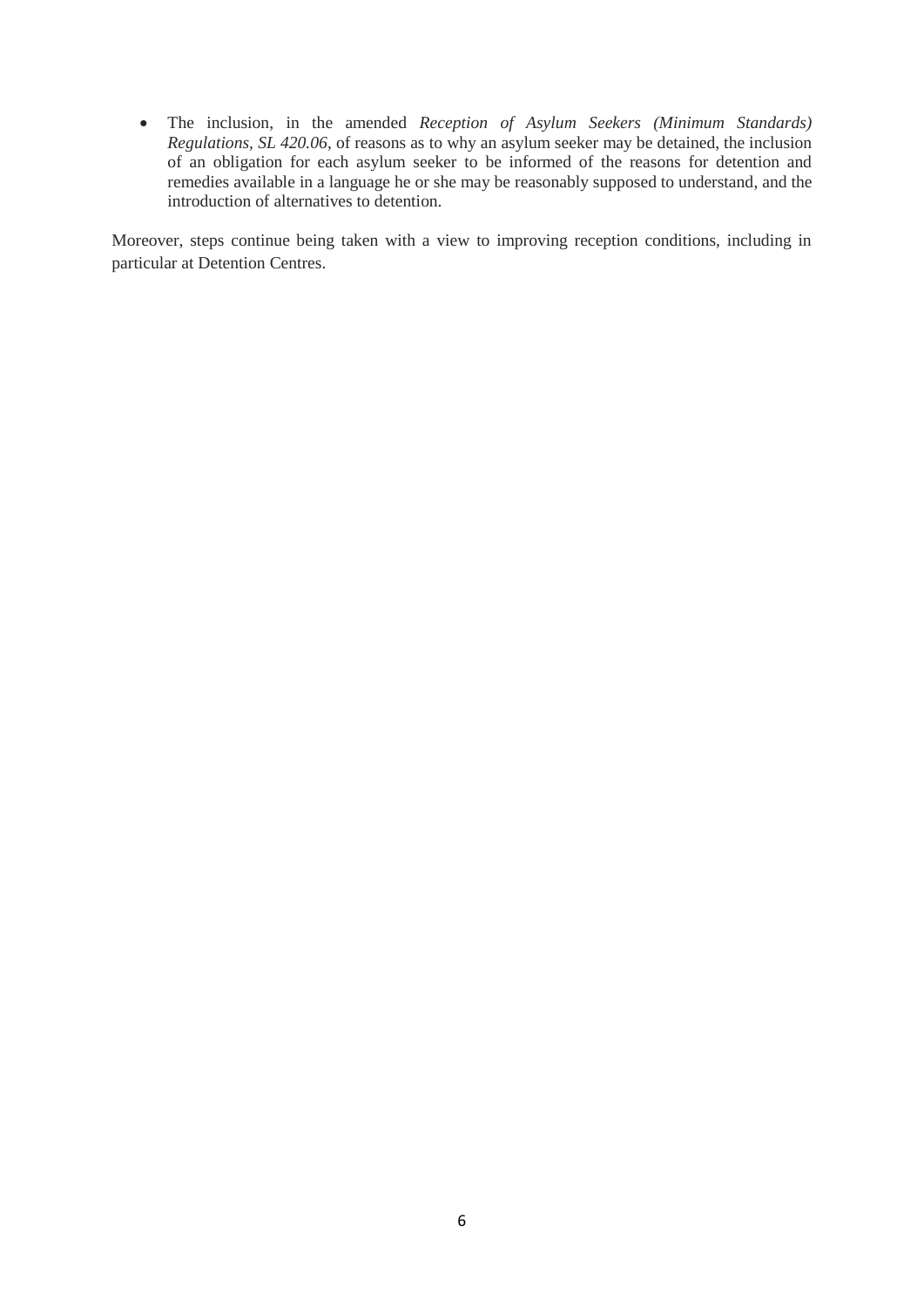The inclusion, in the amended *Reception of Asylum Seekers (Minimum Standards) Regulations, SL 420.06*, of reasons as to why an asylum seeker may be detained, the inclusion of an obligation for each asylum seeker to be informed of the reasons for detention and remedies available in a language he or she may be reasonably supposed to understand, and the introduction of alternatives to detention.

Moreover, steps continue being taken with a view to improving reception conditions, including in particular at Detention Centres.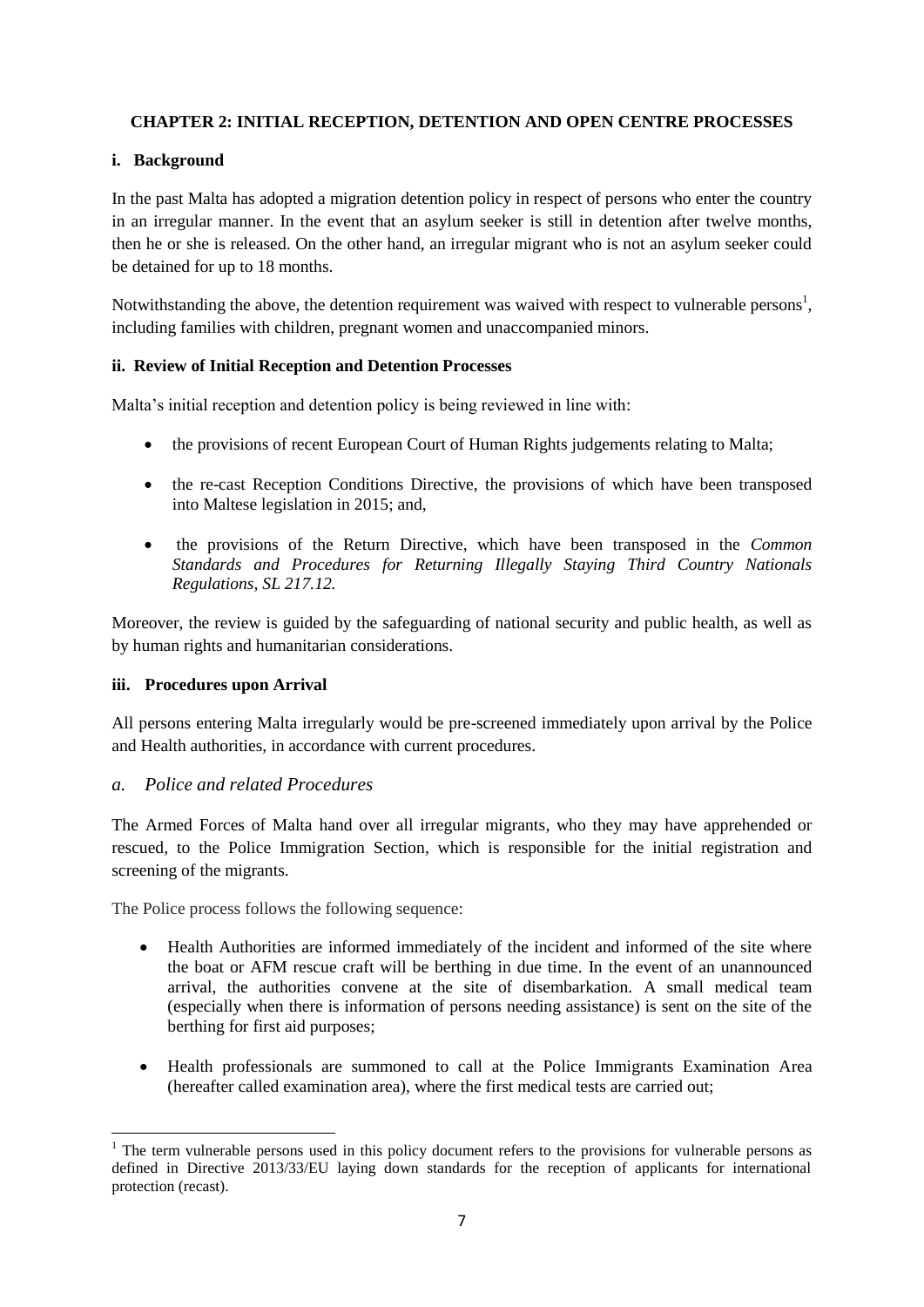## **CHAPTER 2: INITIAL RECEPTION, DETENTION AND OPEN CENTRE PROCESSES**

#### **i. Background**

In the past Malta has adopted a migration detention policy in respect of persons who enter the country in an irregular manner. In the event that an asylum seeker is still in detention after twelve months, then he or she is released. On the other hand, an irregular migrant who is not an asylum seeker could be detained for up to 18 months.

Notwithstanding the above, the detention requirement was waived with respect to vulnerable persons<sup>1</sup>, including families with children, pregnant women and unaccompanied minors.

#### **ii. Review of Initial Reception and Detention Processes**

Malta's initial reception and detention policy is being reviewed in line with:

- the provisions of recent European Court of Human Rights judgements relating to Malta;
- the re-cast Reception Conditions Directive, the provisions of which have been transposed into Maltese legislation in 2015; and,
- the provisions of the Return Directive, which have been transposed in the *Common Standards and Procedures for Returning Illegally Staying Third Country Nationals Regulations, SL 217.12.*

Moreover, the review is guided by the safeguarding of national security and public health, as well as by human rights and humanitarian considerations.

#### **iii. Procedures upon Arrival**

All persons entering Malta irregularly would be pre-screened immediately upon arrival by the Police and Health authorities, in accordance with current procedures.

#### *a. Police and related Procedures*

The Armed Forces of Malta hand over all irregular migrants, who they may have apprehended or rescued, to the Police Immigration Section, which is responsible for the initial registration and screening of the migrants.

The Police process follows the following sequence:

- Health Authorities are informed immediately of the incident and informed of the site where the boat or AFM rescue craft will be berthing in due time. In the event of an unannounced arrival, the authorities convene at the site of disembarkation. A small medical team (especially when there is information of persons needing assistance) is sent on the site of the berthing for first aid purposes;
- Health professionals are summoned to call at the Police Immigrants Examination Area (hereafter called examination area), where the first medical tests are carried out;

<sup>1</sup> <sup>1</sup> The term vulnerable persons used in this policy document refers to the provisions for vulnerable persons as defined in Directive 2013/33/EU laying down standards for the reception of applicants for international protection (recast).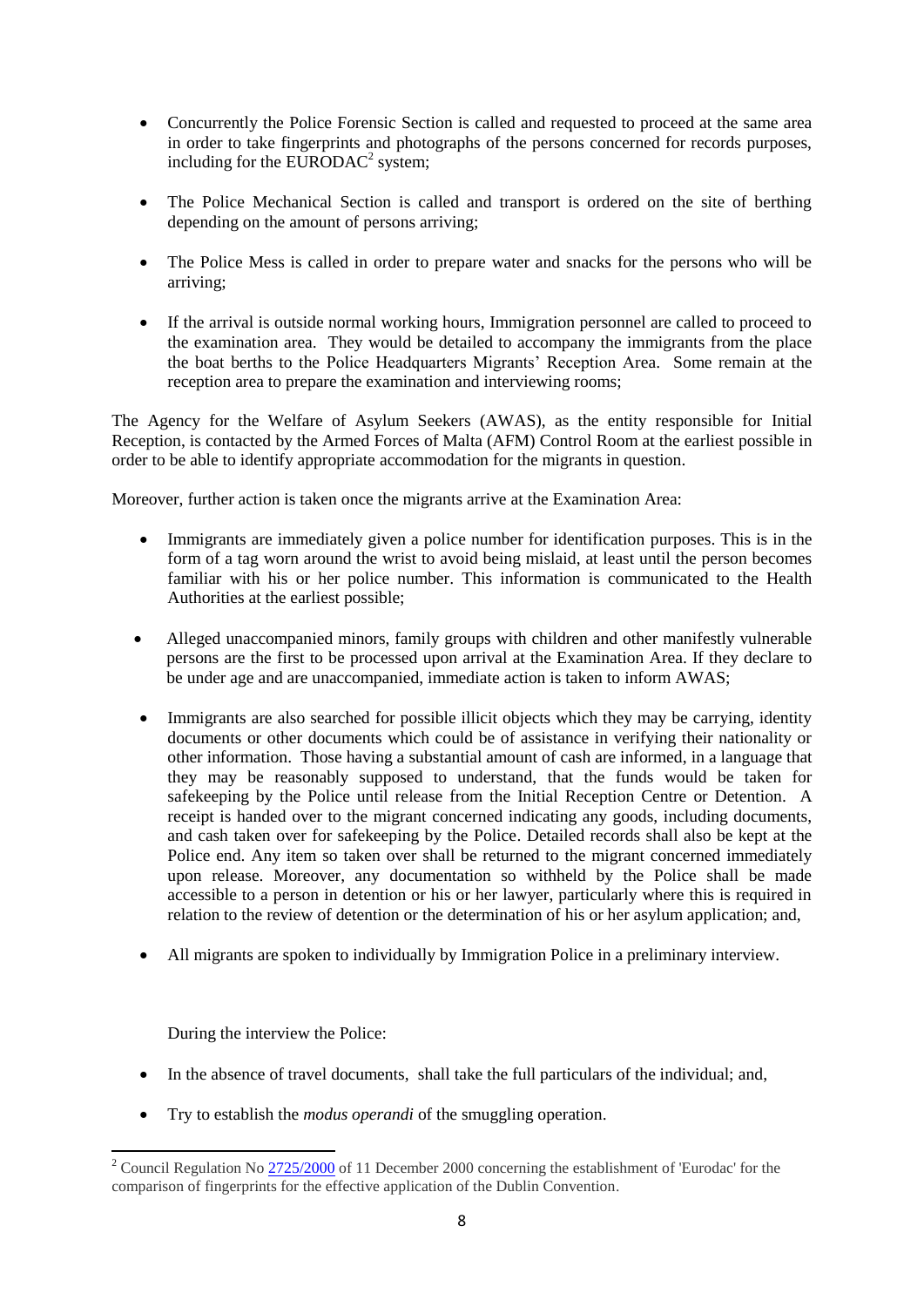- Concurrently the Police Forensic Section is called and requested to proceed at the same area in order to take fingerprints and photographs of the persons concerned for records purposes, including for the EURODAC<sup>2</sup> system;
- The Police Mechanical Section is called and transport is ordered on the site of berthing depending on the amount of persons arriving;
- The Police Mess is called in order to prepare water and snacks for the persons who will be arriving;
- If the arrival is outside normal working hours, Immigration personnel are called to proceed to the examination area. They would be detailed to accompany the immigrants from the place the boat berths to the Police Headquarters Migrants' Reception Area. Some remain at the reception area to prepare the examination and interviewing rooms;

The Agency for the Welfare of Asylum Seekers (AWAS), as the entity responsible for Initial Reception, is contacted by the Armed Forces of Malta (AFM) Control Room at the earliest possible in order to be able to identify appropriate accommodation for the migrants in question.

Moreover, further action is taken once the migrants arrive at the Examination Area:

- Immigrants are immediately given a police number for identification purposes. This is in the form of a tag worn around the wrist to avoid being mislaid, at least until the person becomes familiar with his or her police number. This information is communicated to the Health Authorities at the earliest possible;
- Alleged unaccompanied minors, family groups with children and other manifestly vulnerable persons are the first to be processed upon arrival at the Examination Area. If they declare to be under age and are unaccompanied, immediate action is taken to inform AWAS;
- Immigrants are also searched for possible illicit objects which they may be carrying, identity documents or other documents which could be of assistance in verifying their nationality or other information. Those having a substantial amount of cash are informed, in a language that they may be reasonably supposed to understand, that the funds would be taken for safekeeping by the Police until release from the Initial Reception Centre or Detention. A receipt is handed over to the migrant concerned indicating any goods, including documents, and cash taken over for safekeeping by the Police. Detailed records shall also be kept at the Police end. Any item so taken over shall be returned to the migrant concerned immediately upon release. Moreover, any documentation so withheld by the Police shall be made accessible to a person in detention or his or her lawyer, particularly where this is required in relation to the review of detention or the determination of his or her asylum application; and,
- All migrants are spoken to individually by Immigration Police in a preliminary interview.

During the interview the Police:

- In the absence of travel documents, shall take the full particulars of the individual; and,
- Try to establish the *modus operandi* of the smuggling operation.

**<sup>.</sup>** <sup>2</sup> Council Regulation No  $\frac{2725/2000}{2}$  of 11 December 2000 concerning the establishment of 'Eurodac' for the comparison of fingerprints for the effective application of the Dublin Convention.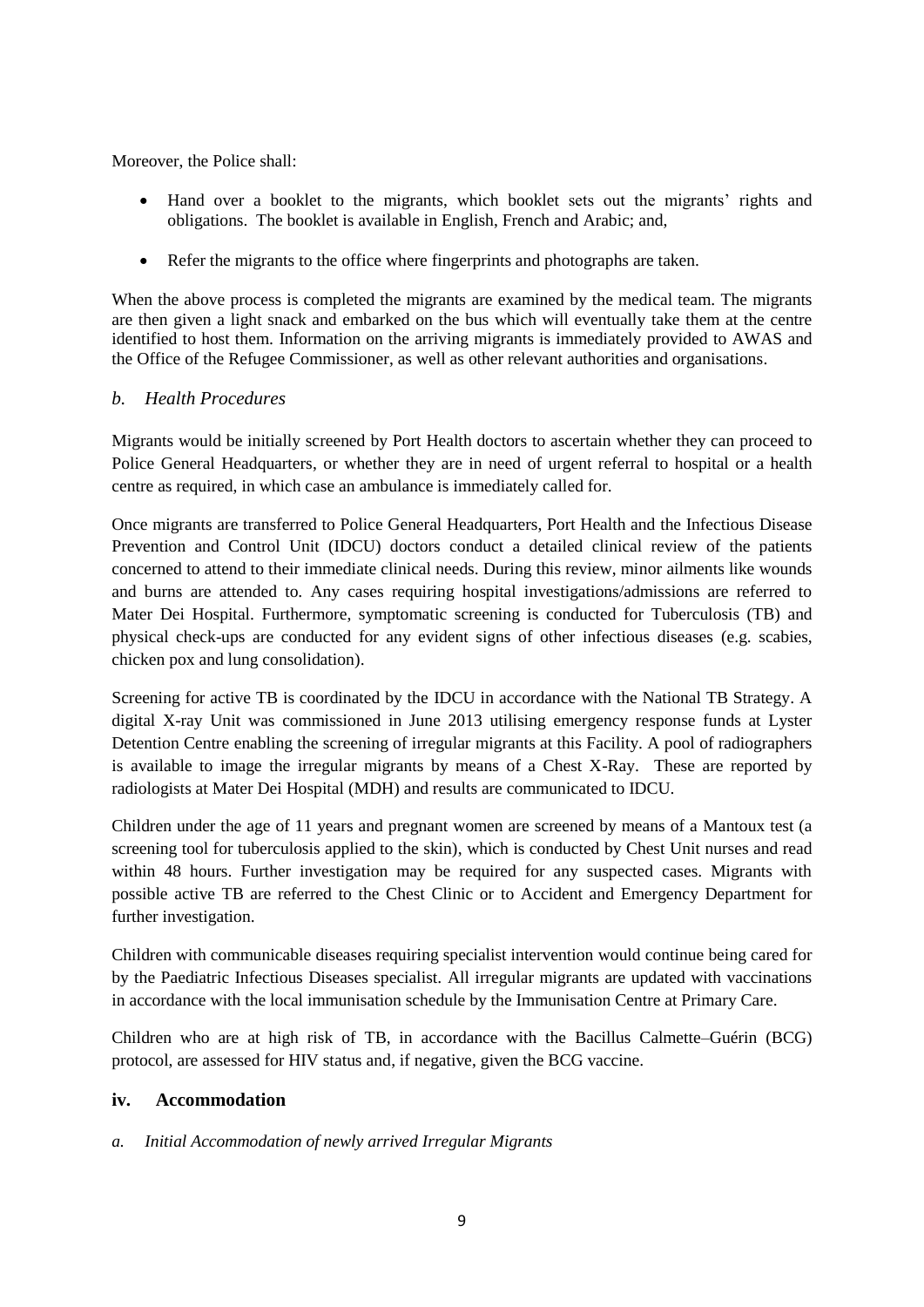Moreover, the Police shall:

- Hand over a booklet to the migrants, which booklet sets out the migrants' rights and obligations. The booklet is available in English, French and Arabic; and,
- Refer the migrants to the office where fingerprints and photographs are taken.

When the above process is completed the migrants are examined by the medical team. The migrants are then given a light snack and embarked on the bus which will eventually take them at the centre identified to host them. Information on the arriving migrants is immediately provided to AWAS and the Office of the Refugee Commissioner, as well as other relevant authorities and organisations.

## *b. Health Procedures*

Migrants would be initially screened by Port Health doctors to ascertain whether they can proceed to Police General Headquarters, or whether they are in need of urgent referral to hospital or a health centre as required, in which case an ambulance is immediately called for.

Once migrants are transferred to Police General Headquarters, Port Health and the Infectious Disease Prevention and Control Unit (IDCU) doctors conduct a detailed clinical review of the patients concerned to attend to their immediate clinical needs. During this review, minor ailments like wounds and burns are attended to. Any cases requiring hospital investigations/admissions are referred to Mater Dei Hospital. Furthermore, symptomatic screening is conducted for Tuberculosis (TB) and physical check-ups are conducted for any evident signs of other infectious diseases (e.g. scabies, chicken pox and lung consolidation).

Screening for active TB is coordinated by the IDCU in accordance with the National TB Strategy. A digital X-ray Unit was commissioned in June 2013 utilising emergency response funds at Lyster Detention Centre enabling the screening of irregular migrants at this Facility. A pool of radiographers is available to image the irregular migrants by means of a Chest X-Ray. These are reported by radiologists at Mater Dei Hospital (MDH) and results are communicated to IDCU.

Children under the age of 11 years and pregnant women are screened by means of a Mantoux test (a screening tool for tuberculosis applied to the skin), which is conducted by Chest Unit nurses and read within 48 hours. Further investigation may be required for any suspected cases. Migrants with possible active TB are referred to the Chest Clinic or to Accident and Emergency Department for further investigation.

Children with communicable diseases requiring specialist intervention would continue being cared for by the Paediatric Infectious Diseases specialist. All irregular migrants are updated with vaccinations in accordance with the local immunisation schedule by the Immunisation Centre at Primary Care.

Children who are at high risk of TB, in accordance with the Bacillus Calmette–Guérin (BCG) protocol, are assessed for HIV status and, if negative, given the BCG vaccine.

## **iv. Accommodation**

#### *a. Initial Accommodation of newly arrived Irregular Migrants*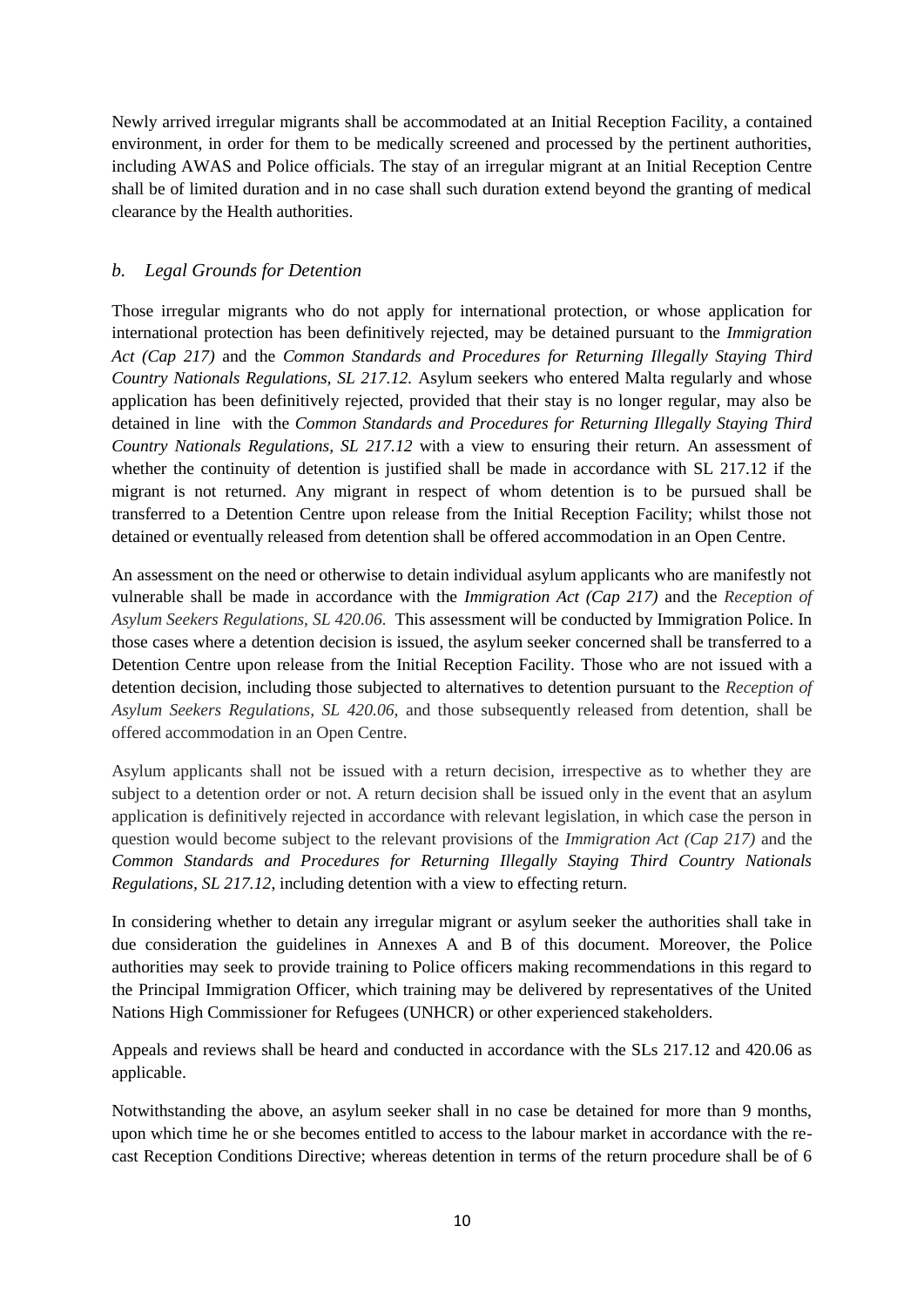Newly arrived irregular migrants shall be accommodated at an Initial Reception Facility, a contained environment, in order for them to be medically screened and processed by the pertinent authorities, including AWAS and Police officials. The stay of an irregular migrant at an Initial Reception Centre shall be of limited duration and in no case shall such duration extend beyond the granting of medical clearance by the Health authorities.

## *b. Legal Grounds for Detention*

Those irregular migrants who do not apply for international protection, or whose application for international protection has been definitively rejected, may be detained pursuant to the *Immigration Act (Cap 217)* and the *Common Standards and Procedures for Returning Illegally Staying Third Country Nationals Regulations, SL 217.12.* Asylum seekers who entered Malta regularly and whose application has been definitively rejected, provided that their stay is no longer regular, may also be detained in line with the *Common Standards and Procedures for Returning Illegally Staying Third Country Nationals Regulations, SL 217.12* with a view to ensuring their return. An assessment of whether the continuity of detention is justified shall be made in accordance with SL 217.12 if the migrant is not returned. Any migrant in respect of whom detention is to be pursued shall be transferred to a Detention Centre upon release from the Initial Reception Facility; whilst those not detained or eventually released from detention shall be offered accommodation in an Open Centre.

An assessment on the need or otherwise to detain individual asylum applicants who are manifestly not vulnerable shall be made in accordance with the *Immigration Act (Cap 217)* and the *Reception of Asylum Seekers Regulations, SL 420.06.* This assessment will be conducted by Immigration Police. In those cases where a detention decision is issued, the asylum seeker concerned shall be transferred to a Detention Centre upon release from the Initial Reception Facility. Those who are not issued with a detention decision, including those subjected to alternatives to detention pursuant to the *Reception of Asylum Seekers Regulations, SL 420.06,* and those subsequently released from detention, shall be offered accommodation in an Open Centre.

Asylum applicants shall not be issued with a return decision, irrespective as to whether they are subject to a detention order or not. A return decision shall be issued only in the event that an asylum application is definitively rejected in accordance with relevant legislation, in which case the person in question would become subject to the relevant provisions of the *Immigration Act (Cap 217)* and the *Common Standards and Procedures for Returning Illegally Staying Third Country Nationals Regulations, SL 217.12*, including detention with a view to effecting return*.*

In considering whether to detain any irregular migrant or asylum seeker the authorities shall take in due consideration the guidelines in Annexes A and B of this document. Moreover, the Police authorities may seek to provide training to Police officers making recommendations in this regard to the Principal Immigration Officer, which training may be delivered by representatives of the United Nations High Commissioner for Refugees (UNHCR) or other experienced stakeholders.

Appeals and reviews shall be heard and conducted in accordance with the SLs 217.12 and 420.06 as applicable.

Notwithstanding the above, an asylum seeker shall in no case be detained for more than 9 months, upon which time he or she becomes entitled to access to the labour market in accordance with the recast Reception Conditions Directive; whereas detention in terms of the return procedure shall be of 6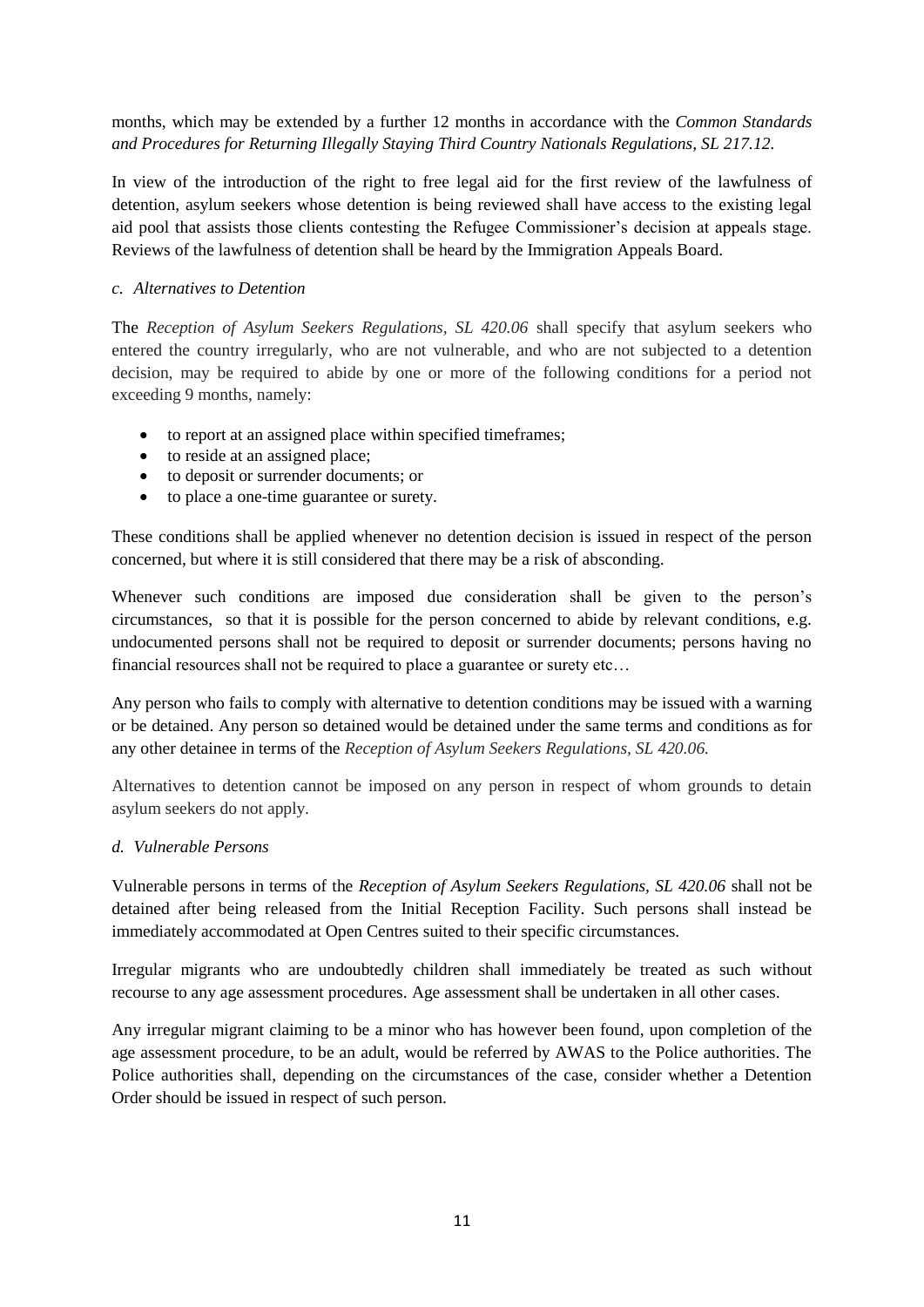months, which may be extended by a further 12 months in accordance with the *Common Standards and Procedures for Returning Illegally Staying Third Country Nationals Regulations, SL 217.12.*

In view of the introduction of the right to free legal aid for the first review of the lawfulness of detention, asylum seekers whose detention is being reviewed shall have access to the existing legal aid pool that assists those clients contesting the Refugee Commissioner's decision at appeals stage. Reviews of the lawfulness of detention shall be heard by the Immigration Appeals Board.

#### *c. Alternatives to Detention*

The *Reception of Asylum Seekers Regulations, SL 420.06* shall specify that asylum seekers who entered the country irregularly, who are not vulnerable, and who are not subjected to a detention decision, may be required to abide by one or more of the following conditions for a period not exceeding 9 months, namely:

- to report at an assigned place within specified timeframes;
- to reside at an assigned place;
- to deposit or surrender documents; or
- to place a one-time guarantee or surety.

These conditions shall be applied whenever no detention decision is issued in respect of the person concerned, but where it is still considered that there may be a risk of absconding.

Whenever such conditions are imposed due consideration shall be given to the person's circumstances, so that it is possible for the person concerned to abide by relevant conditions, e.g. undocumented persons shall not be required to deposit or surrender documents; persons having no financial resources shall not be required to place a guarantee or surety etc…

Any person who fails to comply with alternative to detention conditions may be issued with a warning or be detained. Any person so detained would be detained under the same terms and conditions as for any other detainee in terms of the *Reception of Asylum Seekers Regulations, SL 420.06.* 

Alternatives to detention cannot be imposed on any person in respect of whom grounds to detain asylum seekers do not apply.

#### *d. Vulnerable Persons*

Vulnerable persons in terms of the *Reception of Asylum Seekers Regulations, SL 420.06* shall not be detained after being released from the Initial Reception Facility. Such persons shall instead be immediately accommodated at Open Centres suited to their specific circumstances.

Irregular migrants who are undoubtedly children shall immediately be treated as such without recourse to any age assessment procedures. Age assessment shall be undertaken in all other cases.

Any irregular migrant claiming to be a minor who has however been found, upon completion of the age assessment procedure, to be an adult, would be referred by AWAS to the Police authorities. The Police authorities shall, depending on the circumstances of the case, consider whether a Detention Order should be issued in respect of such person.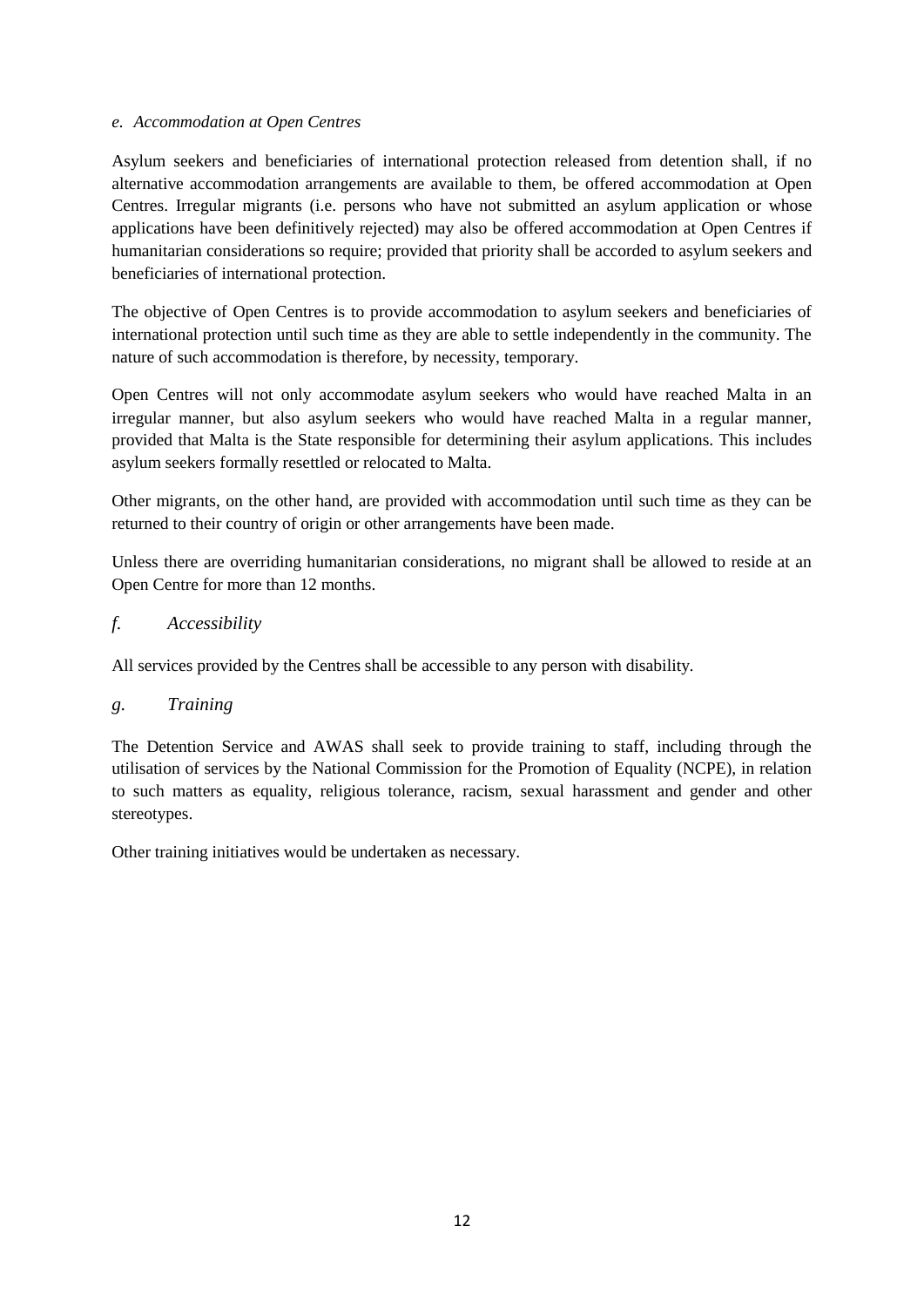#### *e. Accommodation at Open Centres*

Asylum seekers and beneficiaries of international protection released from detention shall, if no alternative accommodation arrangements are available to them, be offered accommodation at Open Centres. Irregular migrants (i.e. persons who have not submitted an asylum application or whose applications have been definitively rejected) may also be offered accommodation at Open Centres if humanitarian considerations so require; provided that priority shall be accorded to asylum seekers and beneficiaries of international protection.

The objective of Open Centres is to provide accommodation to asylum seekers and beneficiaries of international protection until such time as they are able to settle independently in the community. The nature of such accommodation is therefore, by necessity, temporary.

Open Centres will not only accommodate asylum seekers who would have reached Malta in an irregular manner, but also asylum seekers who would have reached Malta in a regular manner, provided that Malta is the State responsible for determining their asylum applications. This includes asylum seekers formally resettled or relocated to Malta.

Other migrants, on the other hand, are provided with accommodation until such time as they can be returned to their country of origin or other arrangements have been made.

Unless there are overriding humanitarian considerations, no migrant shall be allowed to reside at an Open Centre for more than 12 months.

## *f. Accessibility*

All services provided by the Centres shall be accessible to any person with disability*.* 

## *g. Training*

The Detention Service and AWAS shall seek to provide training to staff, including through the utilisation of services by the National Commission for the Promotion of Equality (NCPE), in relation to such matters as equality, religious tolerance, racism, sexual harassment and gender and other stereotypes.

Other training initiatives would be undertaken as necessary.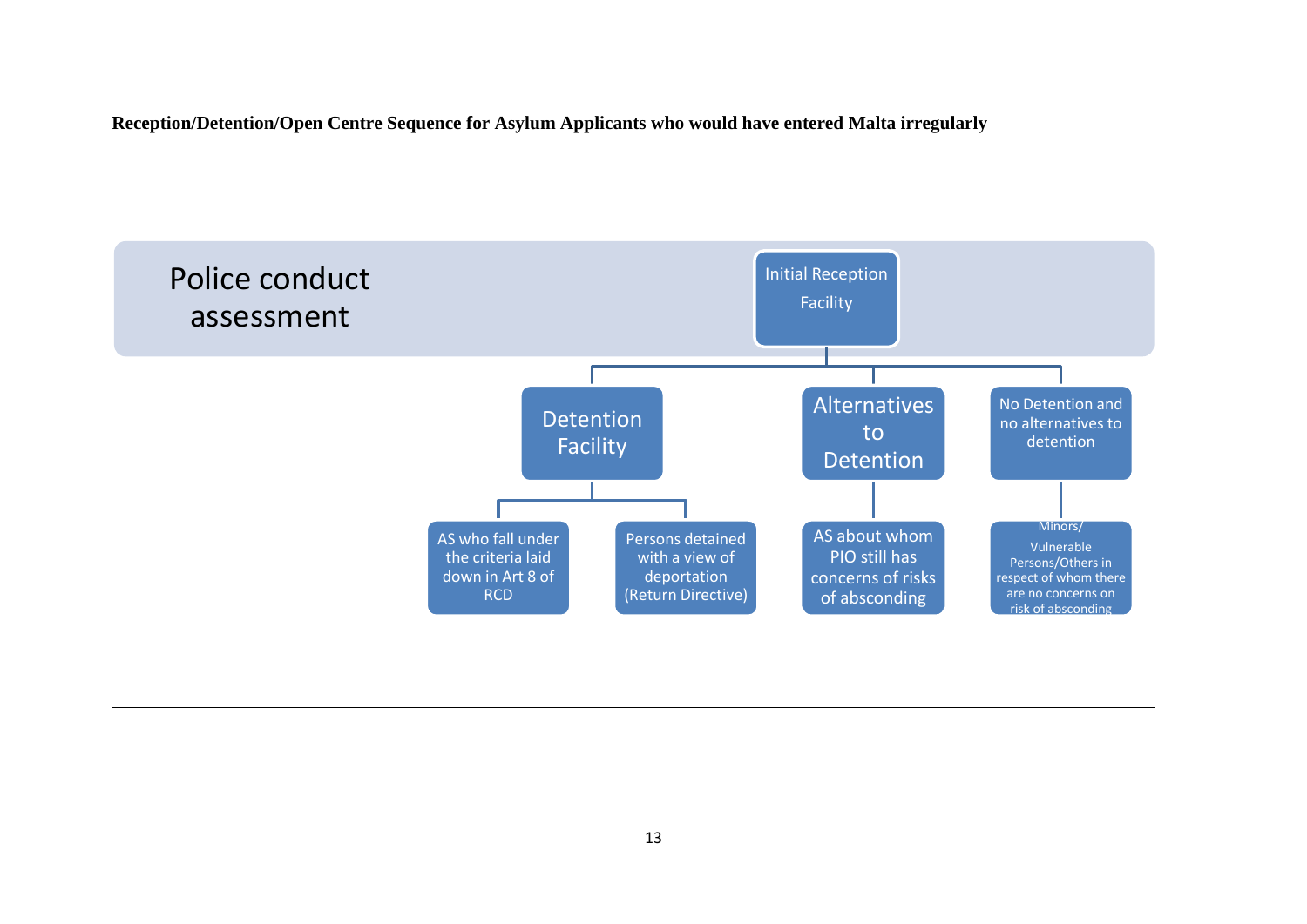**Reception/Detention/Open Centre Sequence for Asylum Applicants who would have entered Malta irregularly** 

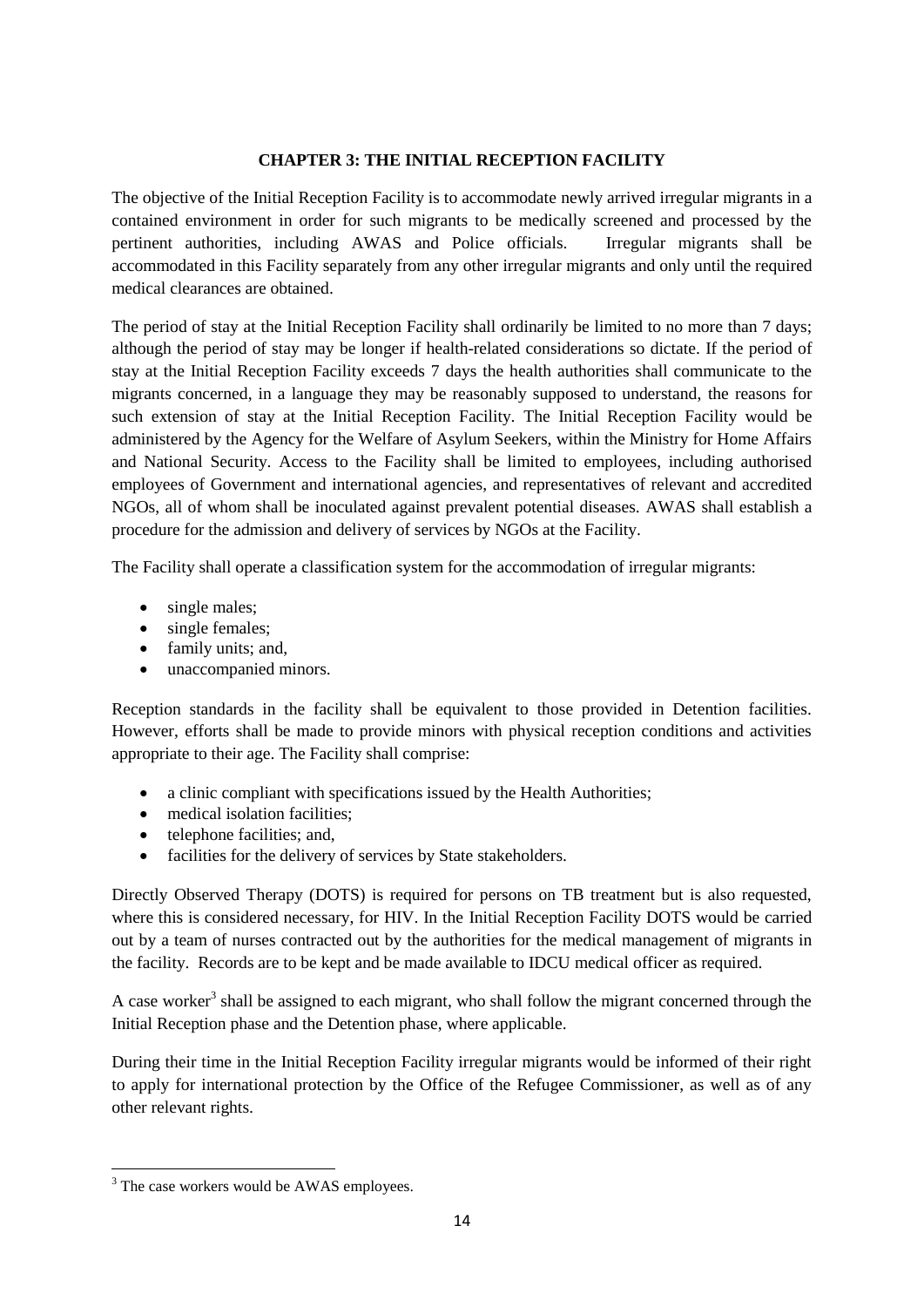#### **CHAPTER 3: THE INITIAL RECEPTION FACILITY**

The objective of the Initial Reception Facility is to accommodate newly arrived irregular migrants in a contained environment in order for such migrants to be medically screened and processed by the pertinent authorities, including AWAS and Police officials. Irregular migrants shall be accommodated in this Facility separately from any other irregular migrants and only until the required medical clearances are obtained.

The period of stay at the Initial Reception Facility shall ordinarily be limited to no more than 7 days; although the period of stay may be longer if health-related considerations so dictate. If the period of stay at the Initial Reception Facility exceeds 7 days the health authorities shall communicate to the migrants concerned, in a language they may be reasonably supposed to understand, the reasons for such extension of stay at the Initial Reception Facility. The Initial Reception Facility would be administered by the Agency for the Welfare of Asylum Seekers, within the Ministry for Home Affairs and National Security. Access to the Facility shall be limited to employees, including authorised employees of Government and international agencies, and representatives of relevant and accredited NGOs, all of whom shall be inoculated against prevalent potential diseases. AWAS shall establish a procedure for the admission and delivery of services by NGOs at the Facility.

The Facility shall operate a classification system for the accommodation of irregular migrants:

- single males:
- single females;
- family units; and,
- unaccompanied minors.

Reception standards in the facility shall be equivalent to those provided in Detention facilities. However, efforts shall be made to provide minors with physical reception conditions and activities appropriate to their age. The Facility shall comprise:

- a clinic compliant with specifications issued by the Health Authorities:
- medical isolation facilities;
- telephone facilities; and,
- facilities for the delivery of services by State stakeholders.

Directly Observed Therapy (DOTS) is required for persons on TB treatment but is also requested, where this is considered necessary, for HIV. In the Initial Reception Facility DOTS would be carried out by a team of nurses contracted out by the authorities for the medical management of migrants in the facility. Records are to be kept and be made available to IDCU medical officer as required.

A case worker<sup>3</sup> shall be assigned to each migrant, who shall follow the migrant concerned through the Initial Reception phase and the Detention phase, where applicable.

During their time in the Initial Reception Facility irregular migrants would be informed of their right to apply for international protection by the Office of the Refugee Commissioner, as well as of any other relevant rights.

**.** 

<sup>&</sup>lt;sup>3</sup> The case workers would be AWAS employees.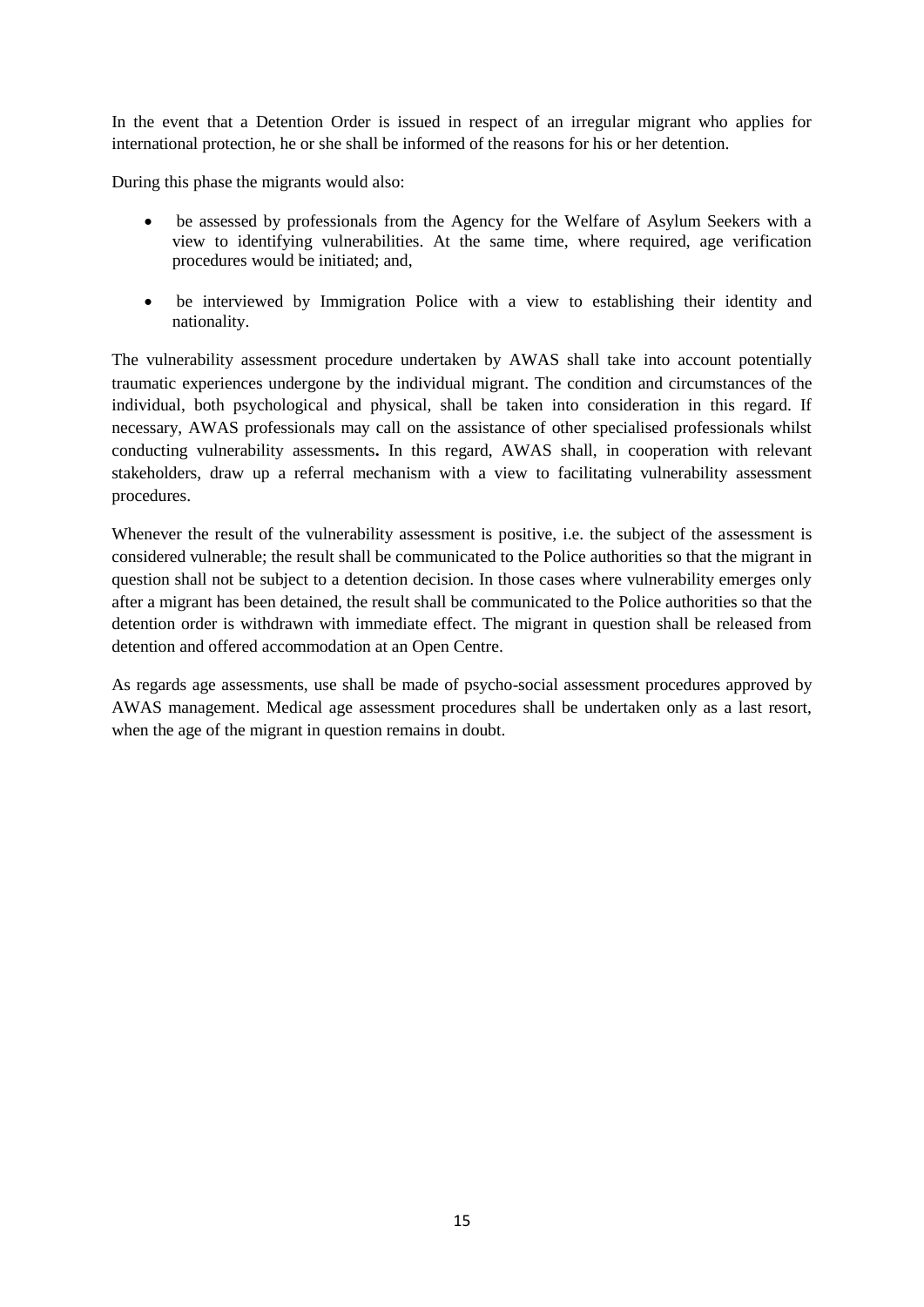In the event that a Detention Order is issued in respect of an irregular migrant who applies for international protection, he or she shall be informed of the reasons for his or her detention.

During this phase the migrants would also:

- be assessed by professionals from the Agency for the Welfare of Asylum Seekers with a view to identifying vulnerabilities. At the same time, where required, age verification procedures would be initiated; and,
- be interviewed by Immigration Police with a view to establishing their identity and nationality.

The vulnerability assessment procedure undertaken by AWAS shall take into account potentially traumatic experiences undergone by the individual migrant. The condition and circumstances of the individual, both psychological and physical, shall be taken into consideration in this regard. If necessary, AWAS professionals may call on the assistance of other specialised professionals whilst conducting vulnerability assessments**.** In this regard, AWAS shall, in cooperation with relevant stakeholders, draw up a referral mechanism with a view to facilitating vulnerability assessment procedures.

Whenever the result of the vulnerability assessment is positive, i.e. the subject of the assessment is considered vulnerable; the result shall be communicated to the Police authorities so that the migrant in question shall not be subject to a detention decision. In those cases where vulnerability emerges only after a migrant has been detained, the result shall be communicated to the Police authorities so that the detention order is withdrawn with immediate effect. The migrant in question shall be released from detention and offered accommodation at an Open Centre.

As regards age assessments, use shall be made of psycho-social assessment procedures approved by AWAS management. Medical age assessment procedures shall be undertaken only as a last resort, when the age of the migrant in question remains in doubt.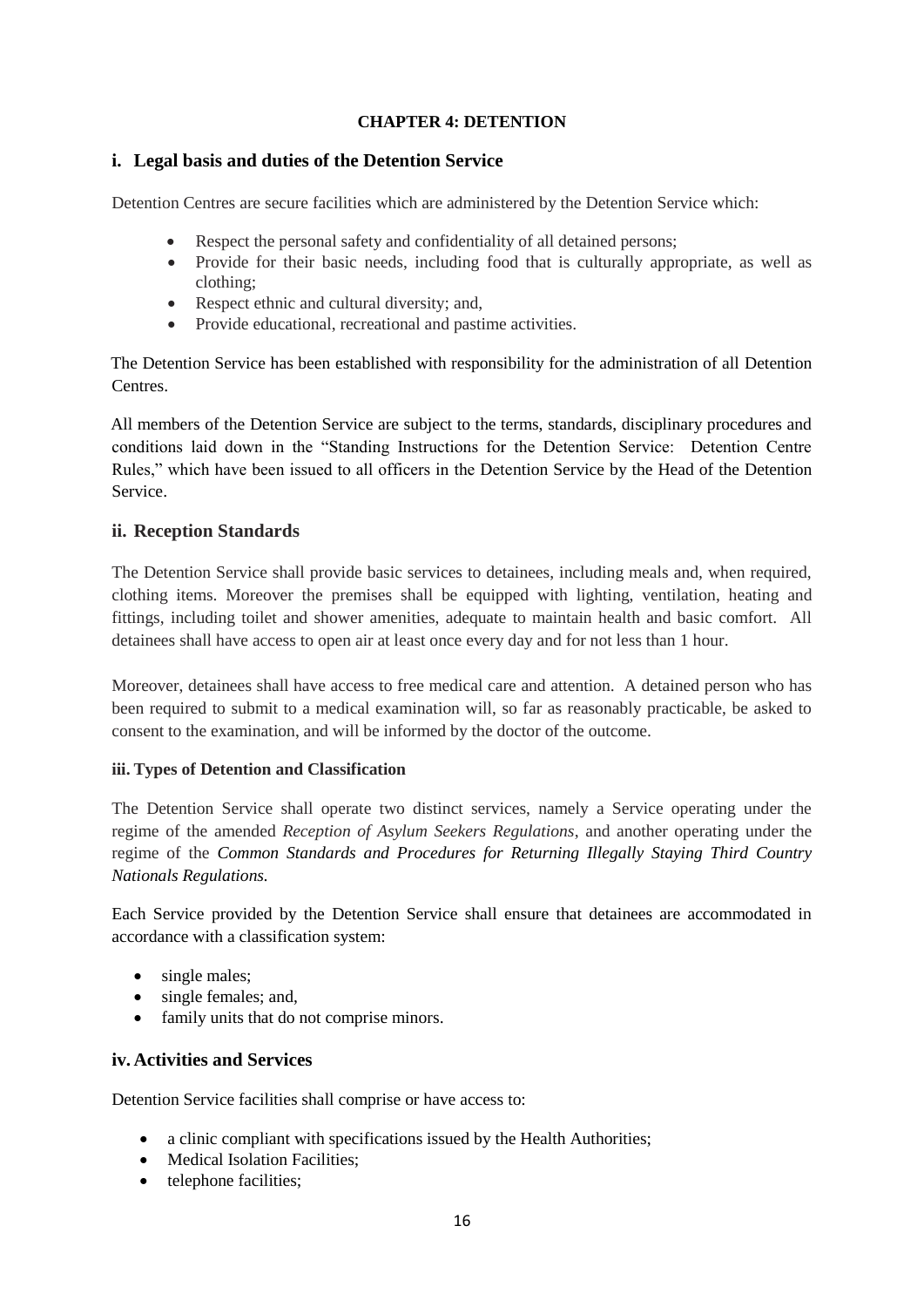## **CHAPTER 4: DETENTION**

#### **i. Legal basis and duties of the Detention Service**

Detention Centres are secure facilities which are administered by the Detention Service which:

- Respect the personal safety and confidentiality of all detained persons;
- Provide for their basic needs, including food that is culturally appropriate, as well as clothing;
- Respect ethnic and cultural diversity; and,
- Provide educational, recreational and pastime activities.

The Detention Service has been established with responsibility for the administration of all Detention Centres.

All members of the Detention Service are subject to the terms, standards, disciplinary procedures and conditions laid down in the "Standing Instructions for the Detention Service: Detention Centre Rules," which have been issued to all officers in the Detention Service by the Head of the Detention Service.

## **ii. Reception Standards**

The Detention Service shall provide basic services to detainees, including meals and, when required, clothing items. Moreover the premises shall be equipped with lighting, ventilation, heating and fittings, including toilet and shower amenities, adequate to maintain health and basic comfort. All detainees shall have access to open air at least once every day and for not less than 1 hour.

Moreover, detainees shall have access to free medical care and attention. A detained person who has been required to submit to a medical examination will, so far as reasonably practicable, be asked to consent to the examination, and will be informed by the doctor of the outcome.

#### **iii. Types of Detention and Classification**

The Detention Service shall operate two distinct services, namely a Service operating under the regime of the amended *Reception of Asylum Seekers Regulations*, and another operating under the regime of the *Common Standards and Procedures for Returning Illegally Staying Third Country Nationals Regulations.*

Each Service provided by the Detention Service shall ensure that detainees are accommodated in accordance with a classification system:

- single males;
- single females; and,
- family units that do not comprise minors.

## **iv. Activities and Services**

Detention Service facilities shall comprise or have access to:

- a clinic compliant with specifications issued by the Health Authorities;
- Medical Isolation Facilities;
- telephone facilities;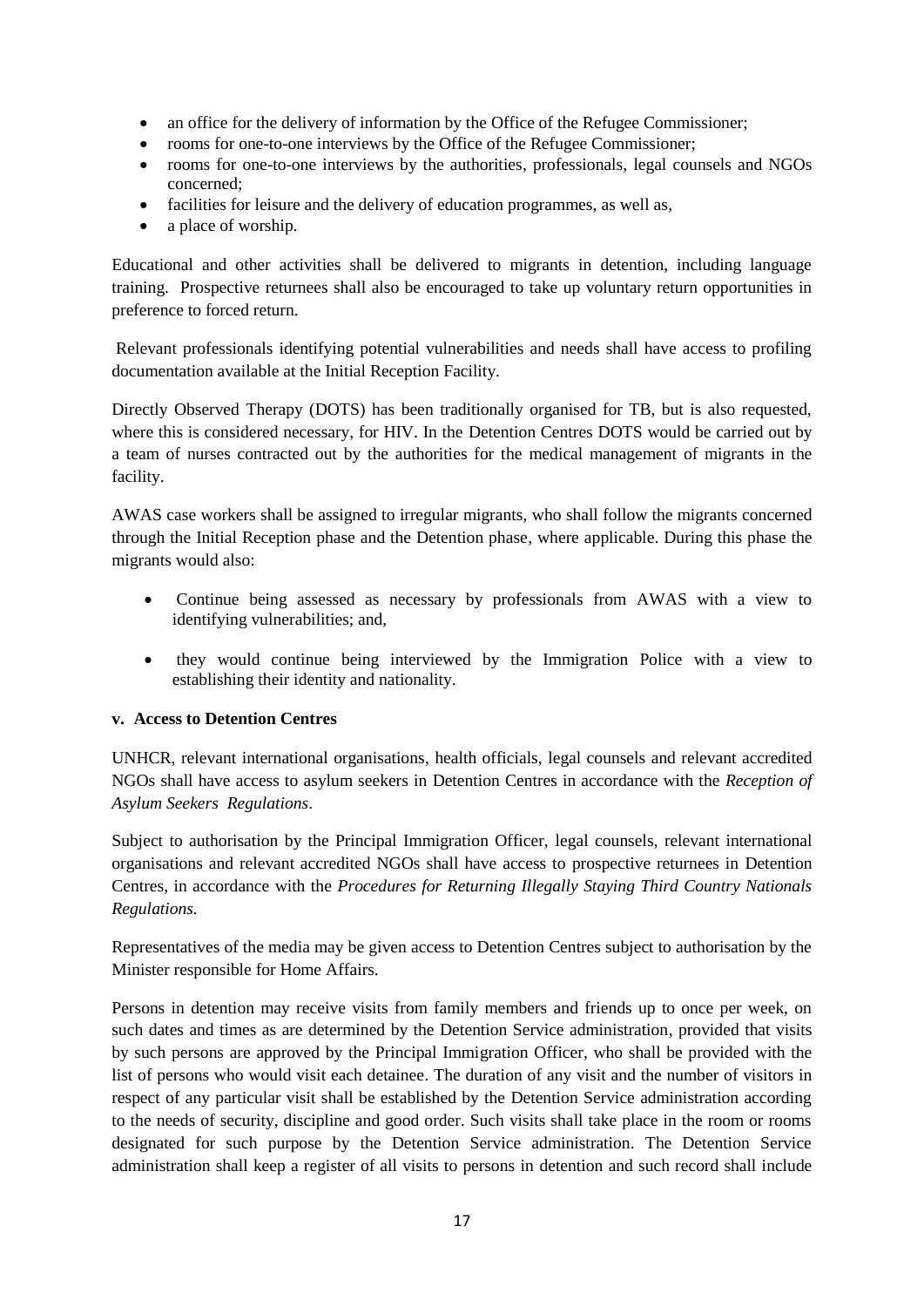- an office for the delivery of information by the Office of the Refugee Commissioner:
- rooms for one-to-one interviews by the Office of the Refugee Commissioner;
- rooms for one-to-one interviews by the authorities, professionals, legal counsels and NGOs concerned;
- facilities for leisure and the delivery of education programmes, as well as,
- a place of worship.

Educational and other activities shall be delivered to migrants in detention, including language training. Prospective returnees shall also be encouraged to take up voluntary return opportunities in preference to forced return.

Relevant professionals identifying potential vulnerabilities and needs shall have access to profiling documentation available at the Initial Reception Facility.

Directly Observed Therapy (DOTS) has been traditionally organised for TB, but is also requested, where this is considered necessary, for HIV. In the Detention Centres DOTS would be carried out by a team of nurses contracted out by the authorities for the medical management of migrants in the facility.

AWAS case workers shall be assigned to irregular migrants, who shall follow the migrants concerned through the Initial Reception phase and the Detention phase, where applicable. During this phase the migrants would also:

- Continue being assessed as necessary by professionals from AWAS with a view to identifying vulnerabilities; and,
- they would continue being interviewed by the Immigration Police with a view to establishing their identity and nationality.

## **v. Access to Detention Centres**

UNHCR, relevant international organisations, health officials, legal counsels and relevant accredited NGOs shall have access to asylum seekers in Detention Centres in accordance with the *Reception of Asylum Seekers Regulations*.

Subject to authorisation by the Principal Immigration Officer, legal counsels, relevant international organisations and relevant accredited NGOs shall have access to prospective returnees in Detention Centres, in accordance with the *Procedures for Returning Illegally Staying Third Country Nationals Regulations.*

Representatives of the media may be given access to Detention Centres subject to authorisation by the Minister responsible for Home Affairs.

Persons in detention may receive visits from family members and friends up to once per week, on such dates and times as are determined by the Detention Service administration, provided that visits by such persons are approved by the Principal Immigration Officer, who shall be provided with the list of persons who would visit each detainee. The duration of any visit and the number of visitors in respect of any particular visit shall be established by the Detention Service administration according to the needs of security, discipline and good order. Such visits shall take place in the room or rooms designated for such purpose by the Detention Service administration. The Detention Service administration shall keep a register of all visits to persons in detention and such record shall include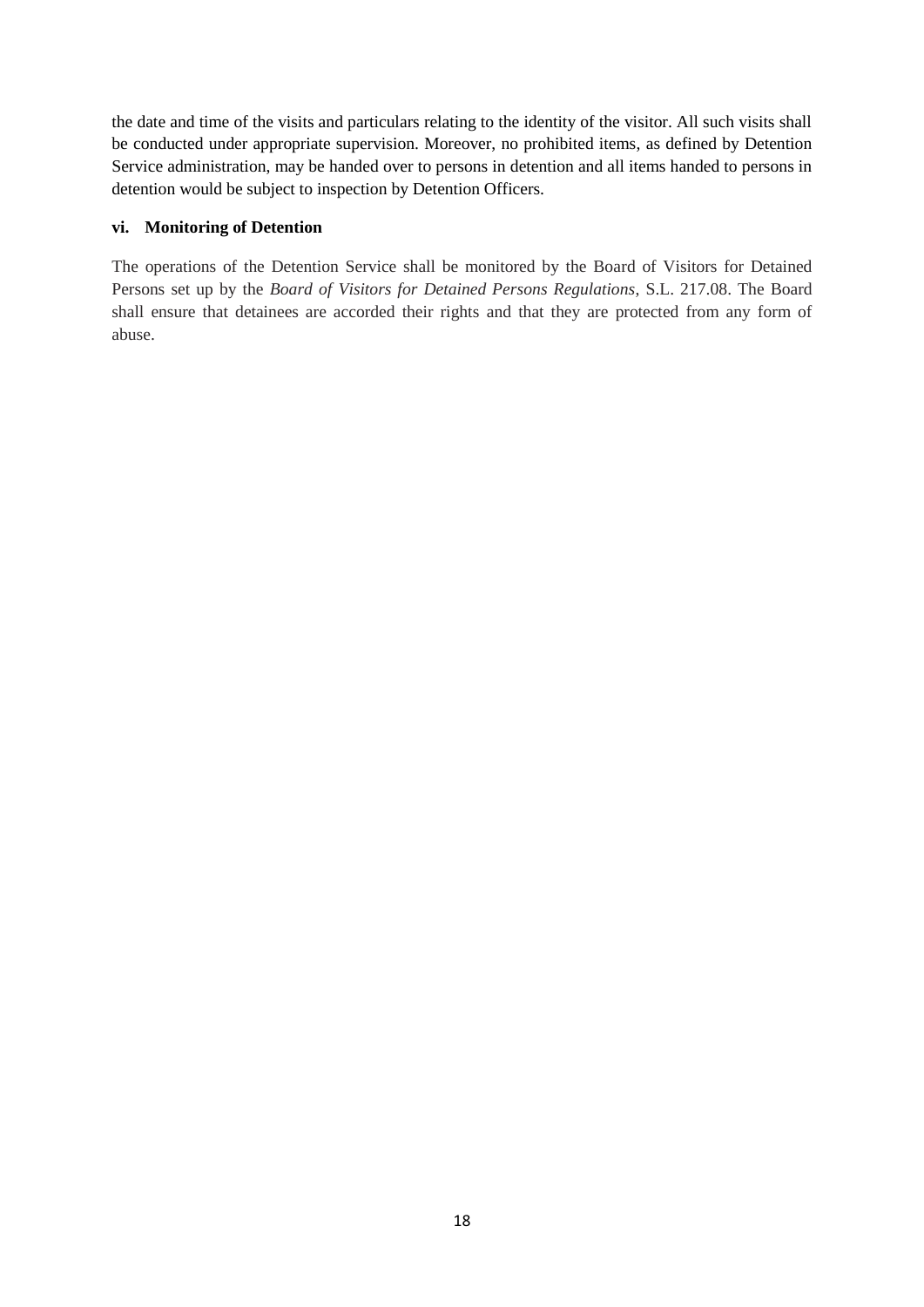the date and time of the visits and particulars relating to the identity of the visitor. All such visits shall be conducted under appropriate supervision. Moreover, no prohibited items, as defined by Detention Service administration, may be handed over to persons in detention and all items handed to persons in detention would be subject to inspection by Detention Officers.

#### **vi. Monitoring of Detention**

The operations of the Detention Service shall be monitored by the Board of Visitors for Detained Persons set up by the *Board of Visitors for Detained Persons Regulations*, S.L. 217.08. The Board shall ensure that detainees are accorded their rights and that they are protected from any form of abuse.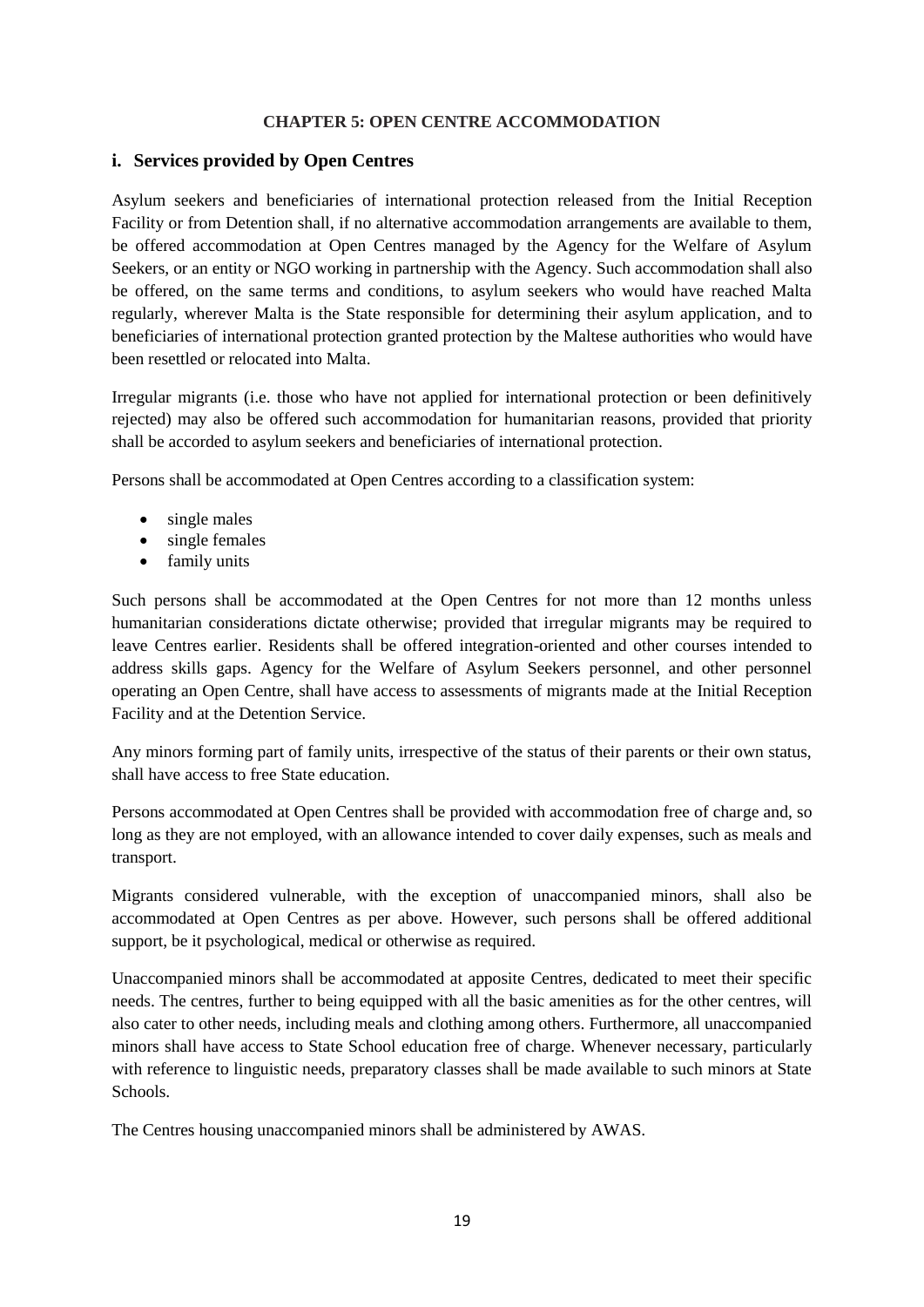#### **CHAPTER 5: OPEN CENTRE ACCOMMODATION**

#### **i. Services provided by Open Centres**

Asylum seekers and beneficiaries of international protection released from the Initial Reception Facility or from Detention shall, if no alternative accommodation arrangements are available to them, be offered accommodation at Open Centres managed by the Agency for the Welfare of Asylum Seekers, or an entity or NGO working in partnership with the Agency. Such accommodation shall also be offered, on the same terms and conditions, to asylum seekers who would have reached Malta regularly, wherever Malta is the State responsible for determining their asylum application, and to beneficiaries of international protection granted protection by the Maltese authorities who would have been resettled or relocated into Malta.

Irregular migrants (i.e. those who have not applied for international protection or been definitively rejected) may also be offered such accommodation for humanitarian reasons, provided that priority shall be accorded to asylum seekers and beneficiaries of international protection.

Persons shall be accommodated at Open Centres according to a classification system:

- single males
- single females
- family units

Such persons shall be accommodated at the Open Centres for not more than 12 months unless humanitarian considerations dictate otherwise; provided that irregular migrants may be required to leave Centres earlier. Residents shall be offered integration-oriented and other courses intended to address skills gaps. Agency for the Welfare of Asylum Seekers personnel, and other personnel operating an Open Centre, shall have access to assessments of migrants made at the Initial Reception Facility and at the Detention Service.

Any minors forming part of family units, irrespective of the status of their parents or their own status, shall have access to free State education.

Persons accommodated at Open Centres shall be provided with accommodation free of charge and, so long as they are not employed, with an allowance intended to cover daily expenses, such as meals and transport.

Migrants considered vulnerable, with the exception of unaccompanied minors, shall also be accommodated at Open Centres as per above. However, such persons shall be offered additional support, be it psychological, medical or otherwise as required.

Unaccompanied minors shall be accommodated at apposite Centres, dedicated to meet their specific needs. The centres, further to being equipped with all the basic amenities as for the other centres, will also cater to other needs, including meals and clothing among others. Furthermore, all unaccompanied minors shall have access to State School education free of charge. Whenever necessary, particularly with reference to linguistic needs, preparatory classes shall be made available to such minors at State Schools.

The Centres housing unaccompanied minors shall be administered by AWAS.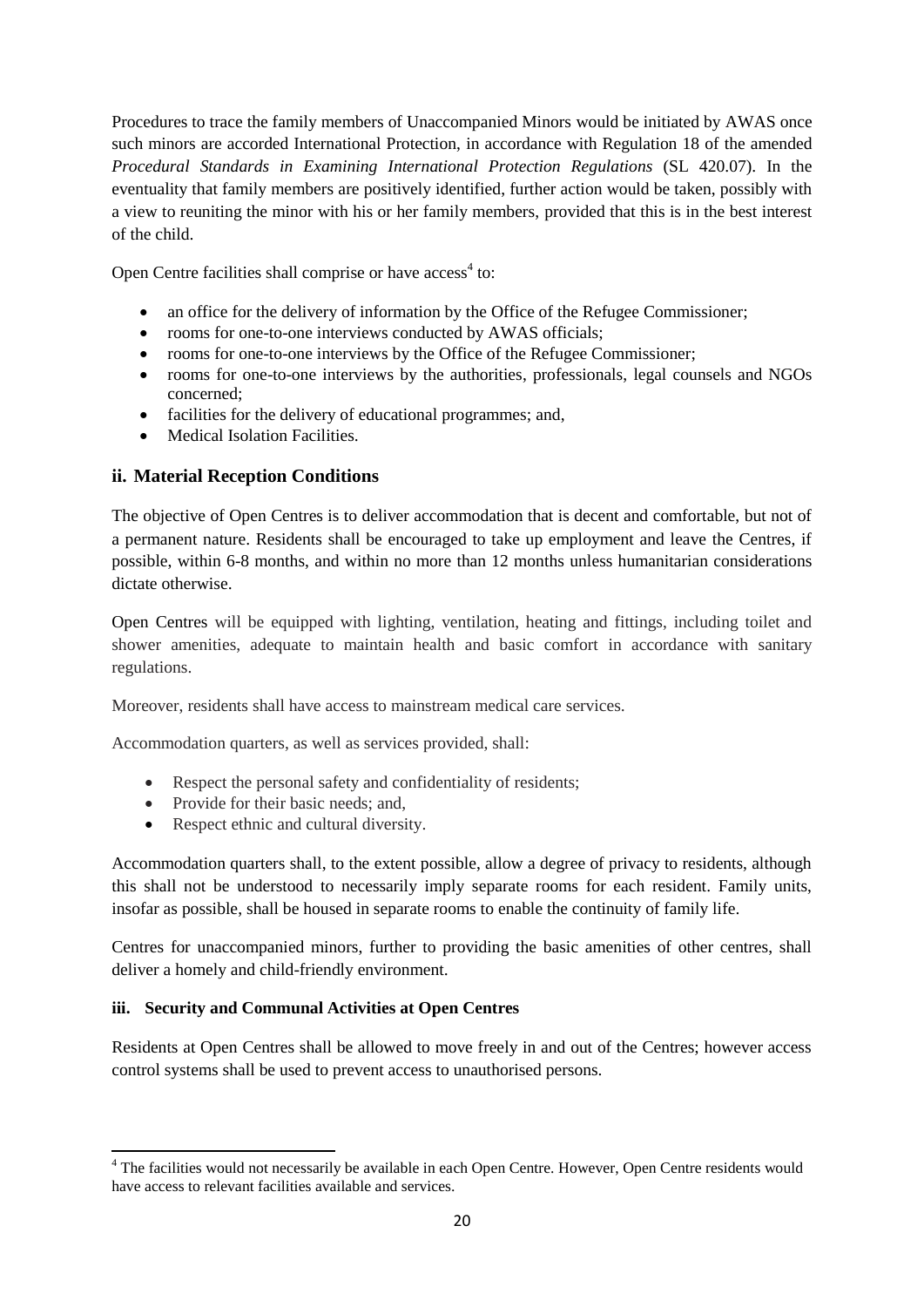Procedures to trace the family members of Unaccompanied Minors would be initiated by AWAS once such minors are accorded International Protection, in accordance with Regulation 18 of the amended *Procedural Standards in Examining International Protection Regulations* (SL 420.07). In the eventuality that family members are positively identified, further action would be taken, possibly with a view to reuniting the minor with his or her family members, provided that this is in the best interest of the child.

Open Centre facilities shall comprise or have access<sup>4</sup> to:

- an office for the delivery of information by the Office of the Refugee Commissioner;
- rooms for one-to-one interviews conducted by AWAS officials;
- rooms for one-to-one interviews by the Office of the Refugee Commissioner;
- rooms for one-to-one interviews by the authorities, professionals, legal counsels and NGOs concerned;
- facilities for the delivery of educational programmes; and,
- Medical Isolation Facilities.

# **ii. Material Reception Conditions**

The objective of Open Centres is to deliver accommodation that is decent and comfortable, but not of a permanent nature. Residents shall be encouraged to take up employment and leave the Centres, if possible, within 6-8 months, and within no more than 12 months unless humanitarian considerations dictate otherwise.

Open Centres will be equipped with lighting, ventilation, heating and fittings, including toilet and shower amenities, adequate to maintain health and basic comfort in accordance with sanitary regulations.

Moreover, residents shall have access to mainstream medical care services.

Accommodation quarters, as well as services provided, shall:

- Respect the personal safety and confidentiality of residents:
- Provide for their basic needs; and,
- Respect ethnic and cultural diversity.

Accommodation quarters shall, to the extent possible, allow a degree of privacy to residents, although this shall not be understood to necessarily imply separate rooms for each resident. Family units, insofar as possible, shall be housed in separate rooms to enable the continuity of family life.

Centres for unaccompanied minors, further to providing the basic amenities of other centres, shall deliver a homely and child-friendly environment.

## **iii. Security and Communal Activities at Open Centres**

Residents at Open Centres shall be allowed to move freely in and out of the Centres; however access control systems shall be used to prevent access to unauthorised persons.

**<sup>.</sup>** <sup>4</sup> The facilities would not necessarily be available in each Open Centre. However, Open Centre residents would have access to relevant facilities available and services.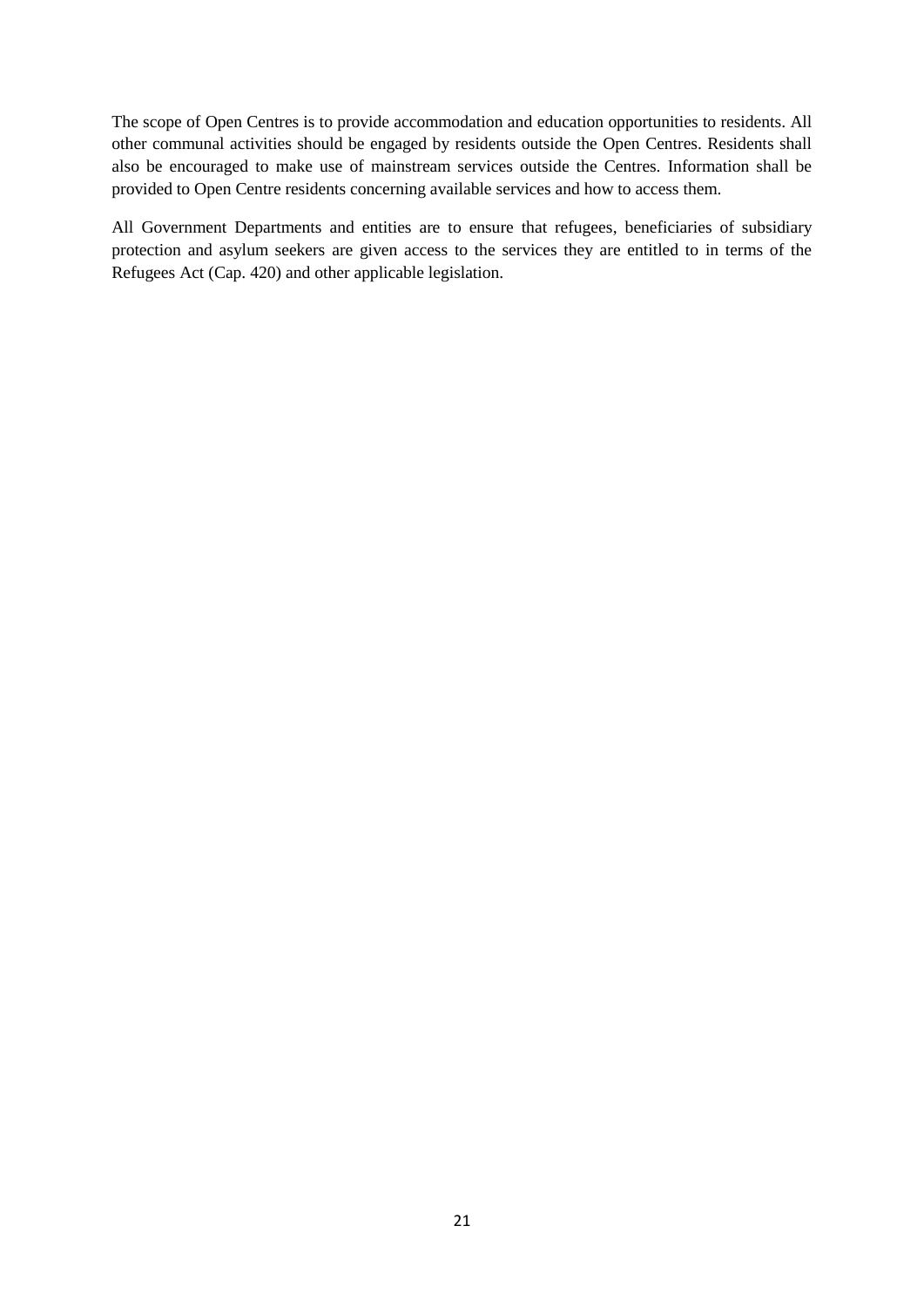The scope of Open Centres is to provide accommodation and education opportunities to residents. All other communal activities should be engaged by residents outside the Open Centres. Residents shall also be encouraged to make use of mainstream services outside the Centres. Information shall be provided to Open Centre residents concerning available services and how to access them.

All Government Departments and entities are to ensure that refugees, beneficiaries of subsidiary protection and asylum seekers are given access to the services they are entitled to in terms of the Refugees Act (Cap. 420) and other applicable legislation.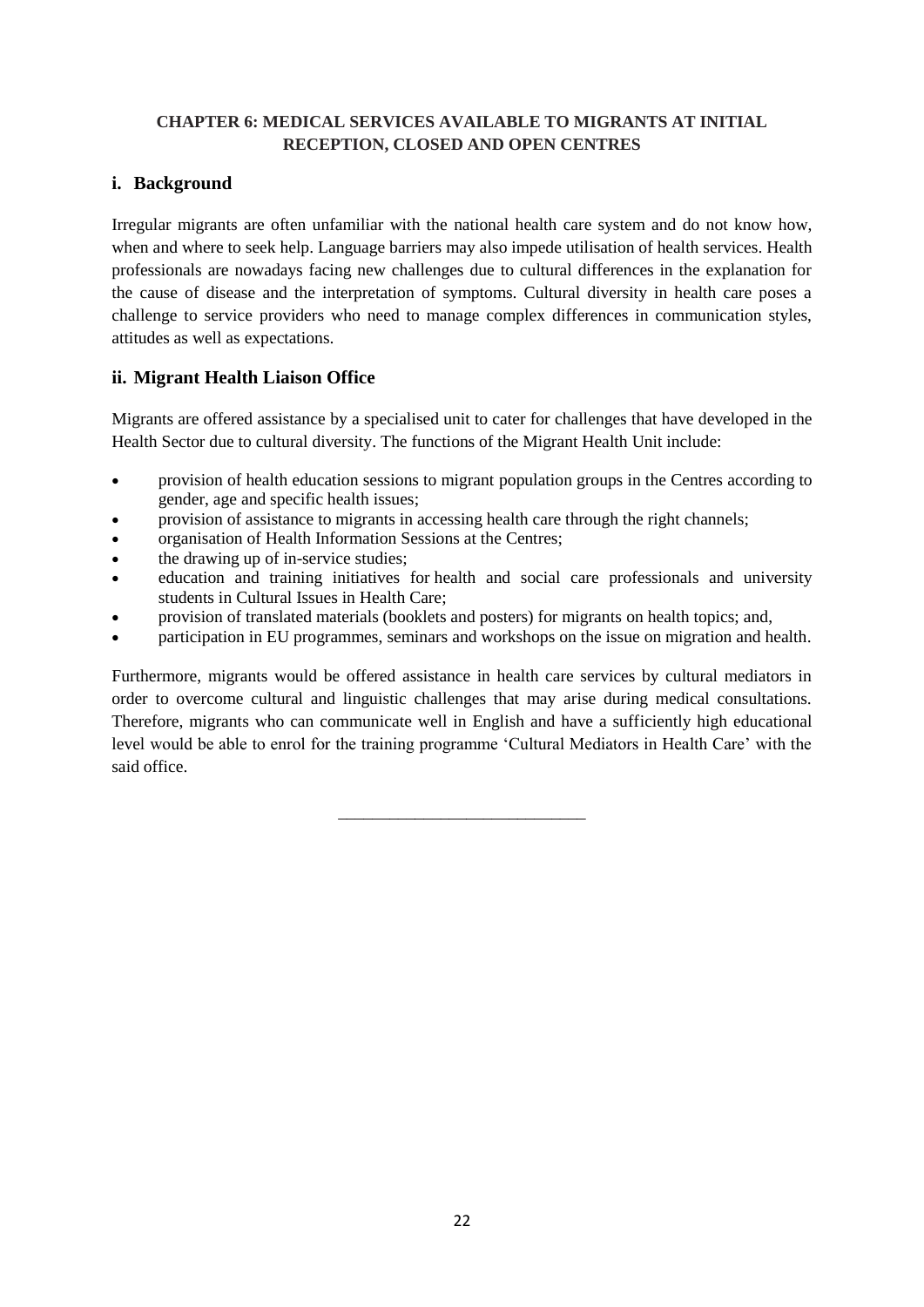## **CHAPTER 6: MEDICAL SERVICES AVAILABLE TO MIGRANTS AT INITIAL RECEPTION, CLOSED AND OPEN CENTRES**

## **i. Background**

Irregular migrants are often unfamiliar with the national health care system and do not know how, when and where to seek help. Language barriers may also impede utilisation of health services. Health professionals are nowadays facing new challenges due to cultural differences in the explanation for the cause of disease and the interpretation of symptoms. Cultural diversity in health care poses a challenge to service providers who need to manage complex differences in communication styles, attitudes as well as expectations.

# **ii. Migrant Health Liaison Office**

Migrants are offered assistance by a specialised unit to cater for challenges that have developed in the Health Sector due to cultural diversity. The functions of the Migrant Health Unit include:

- provision of health education sessions to migrant population groups in the Centres according to gender, age and specific health issues;
- provision of assistance to migrants in accessing health care through the right channels;
- organisation of Health Information Sessions at the Centres;
- the drawing up of in-service studies;
- education and training initiatives for health and social care professionals and university students in Cultural Issues in Health Care;
- provision of translated materials (booklets and posters) for migrants on health topics; and,
- participation in EU programmes, seminars and workshops on the issue on migration and health.

Furthermore, migrants would be offered assistance in health care services by cultural mediators in order to overcome cultural and linguistic challenges that may arise during medical consultations. Therefore, migrants who can communicate well in English and have a sufficiently high educational level would be able to enrol for the training programme 'Cultural Mediators in Health Care' with the said office.

\_\_\_\_\_\_\_\_\_\_\_\_\_\_\_\_\_\_\_\_\_\_\_\_\_\_\_\_\_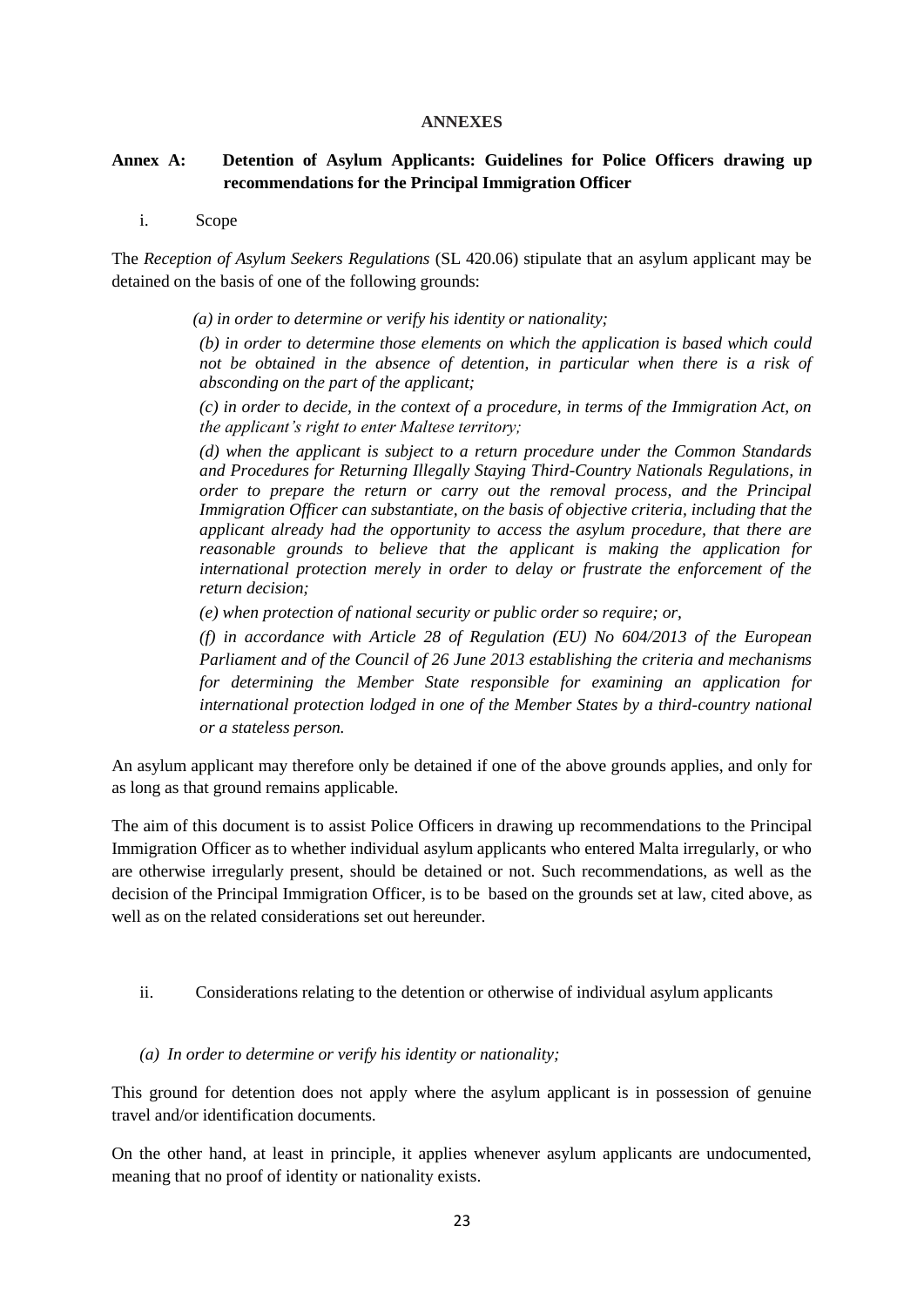#### **ANNEXES**

## **Annex A: Detention of Asylum Applicants: Guidelines for Police Officers drawing up recommendations for the Principal Immigration Officer**

i. Scope

The *Reception of Asylum Seekers Regulations* (SL 420.06) stipulate that an asylum applicant may be detained on the basis of one of the following grounds:

 *(a) in order to determine or verify his identity or nationality;* 

*(b) in order to determine those elements on which the application is based which could not be obtained in the absence of detention, in particular when there is a risk of absconding on the part of the applicant;* 

*(c) in order to decide, in the context of a procedure, in terms of the Immigration Act, on the applicant's right to enter Maltese territory;* 

*(d) when the applicant is subject to a return procedure under the Common Standards and Procedures for Returning Illegally Staying Third-Country Nationals Regulations, in order to prepare the return or carry out the removal process, and the Principal Immigration Officer can substantiate, on the basis of objective criteria, including that the applicant already had the opportunity to access the asylum procedure, that there are reasonable grounds to believe that the applicant is making the application for international protection merely in order to delay or frustrate the enforcement of the return decision;* 

*(e) when protection of national security or public order so require; or,* 

*(f) in accordance with Article 28 of Regulation (EU) No 604/2013 of the European Parliament and of the Council of 26 June 2013 establishing the criteria and mechanisms for determining the Member State responsible for examining an application for international protection lodged in one of the Member States by a third-country national or a stateless person.*

An asylum applicant may therefore only be detained if one of the above grounds applies, and only for as long as that ground remains applicable.

The aim of this document is to assist Police Officers in drawing up recommendations to the Principal Immigration Officer as to whether individual asylum applicants who entered Malta irregularly, or who are otherwise irregularly present, should be detained or not. Such recommendations, as well as the decision of the Principal Immigration Officer, is to be based on the grounds set at law, cited above, as well as on the related considerations set out hereunder.

ii. Considerations relating to the detention or otherwise of individual asylum applicants

*(a) In order to determine or verify his identity or nationality;*

This ground for detention does not apply where the asylum applicant is in possession of genuine travel and/or identification documents.

On the other hand, at least in principle, it applies whenever asylum applicants are undocumented, meaning that no proof of identity or nationality exists.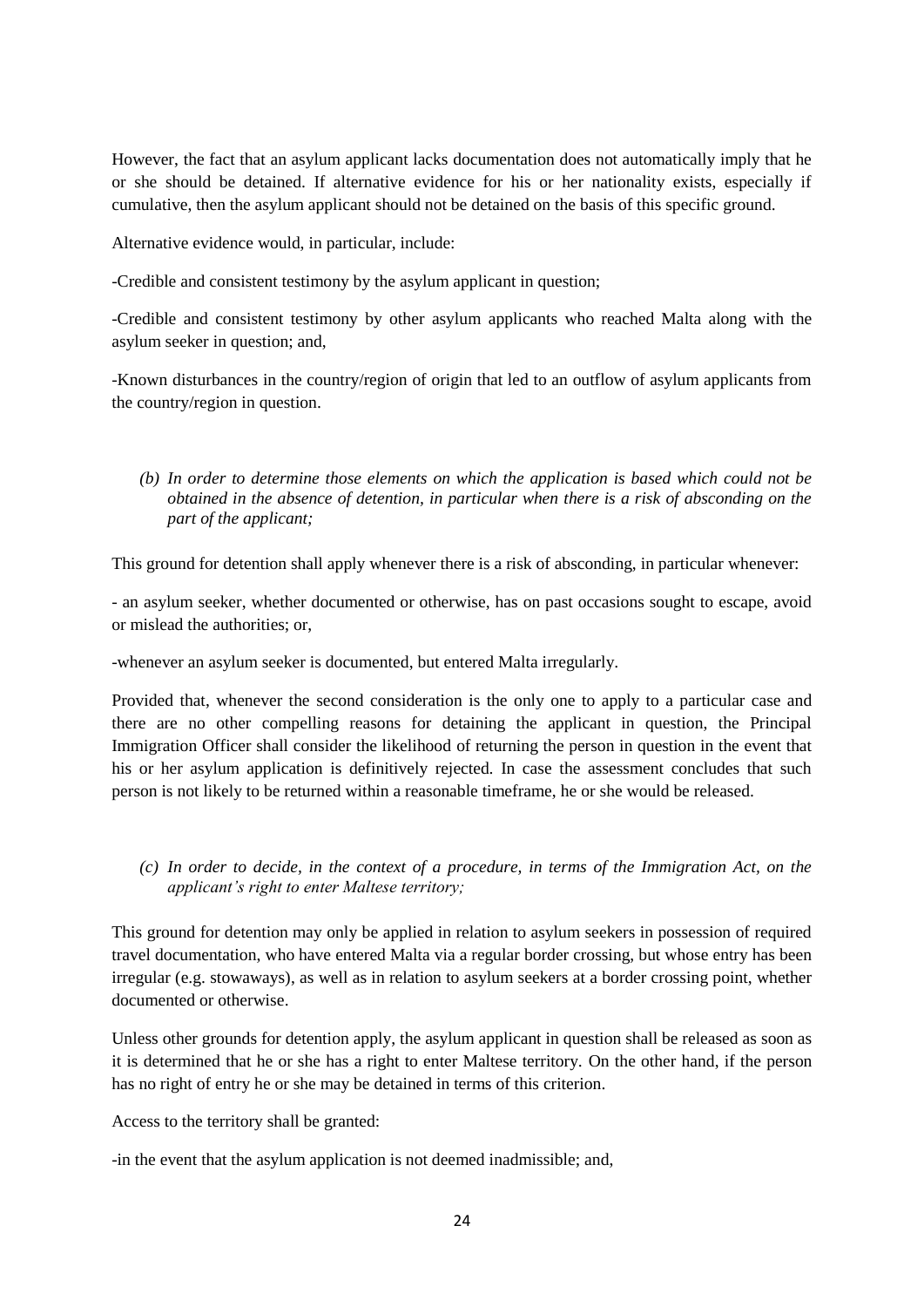However, the fact that an asylum applicant lacks documentation does not automatically imply that he or she should be detained. If alternative evidence for his or her nationality exists, especially if cumulative, then the asylum applicant should not be detained on the basis of this specific ground.

Alternative evidence would, in particular, include:

-Credible and consistent testimony by the asylum applicant in question;

-Credible and consistent testimony by other asylum applicants who reached Malta along with the asylum seeker in question; and,

-Known disturbances in the country/region of origin that led to an outflow of asylum applicants from the country/region in question.

*(b) In order to determine those elements on which the application is based which could not be obtained in the absence of detention, in particular when there is a risk of absconding on the part of the applicant;* 

This ground for detention shall apply whenever there is a risk of absconding, in particular whenever:

- an asylum seeker, whether documented or otherwise, has on past occasions sought to escape, avoid or mislead the authorities; or

-whenever an asylum seeker is documented, but entered Malta irregularly.

Provided that, whenever the second consideration is the only one to apply to a particular case and there are no other compelling reasons for detaining the applicant in question, the Principal Immigration Officer shall consider the likelihood of returning the person in question in the event that his or her asylum application is definitively rejected. In case the assessment concludes that such person is not likely to be returned within a reasonable timeframe, he or she would be released.

*(c) In order to decide, in the context of a procedure, in terms of the Immigration Act, on the applicant's right to enter Maltese territory;* 

This ground for detention may only be applied in relation to asylum seekers in possession of required travel documentation, who have entered Malta via a regular border crossing, but whose entry has been irregular (e.g. stowaways), as well as in relation to asylum seekers at a border crossing point, whether documented or otherwise.

Unless other grounds for detention apply, the asylum applicant in question shall be released as soon as it is determined that he or she has a right to enter Maltese territory. On the other hand, if the person has no right of entry he or she may be detained in terms of this criterion.

Access to the territory shall be granted:

-in the event that the asylum application is not deemed inadmissible; and,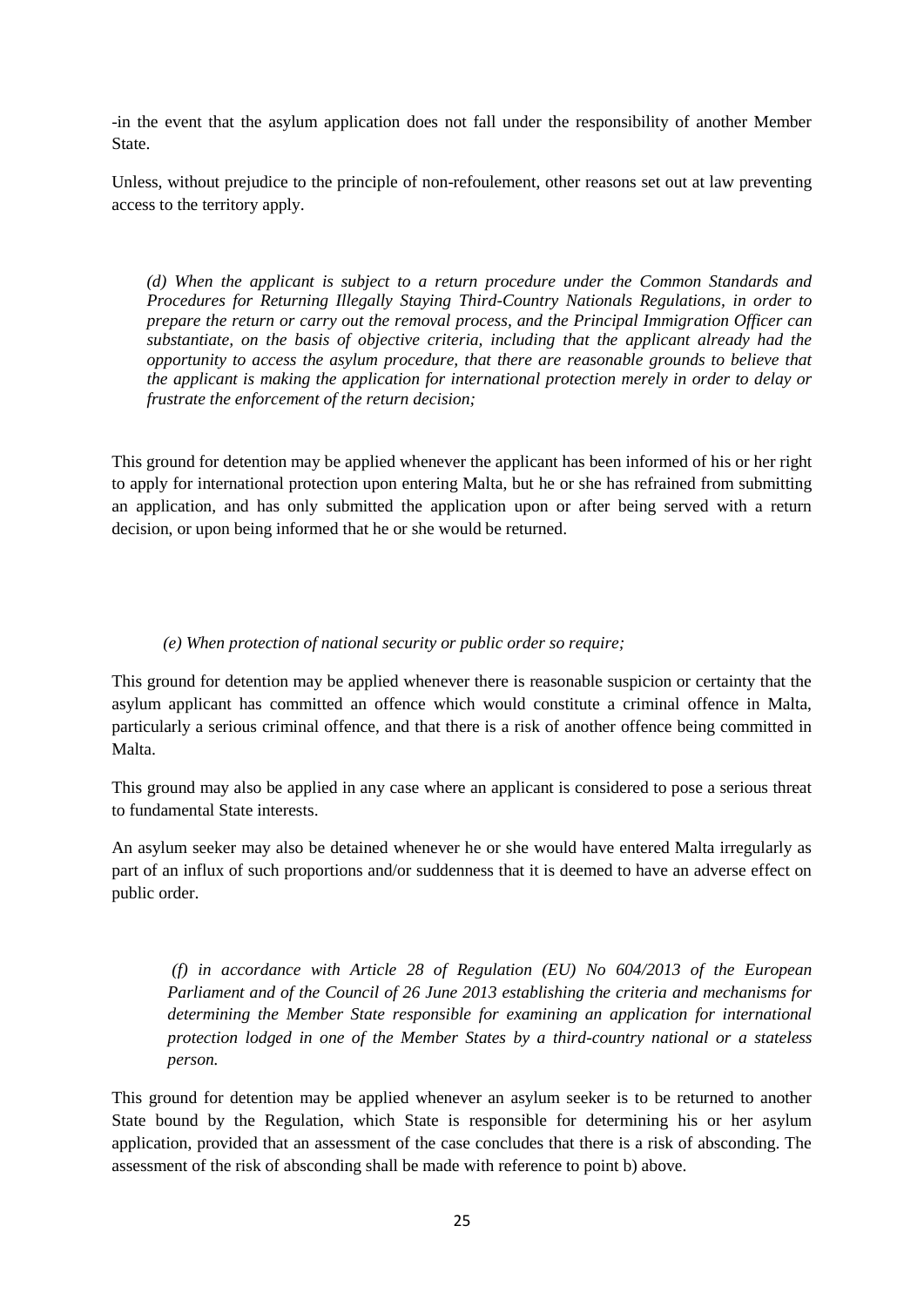-in the event that the asylum application does not fall under the responsibility of another Member State.

Unless, without prejudice to the principle of non-refoulement, other reasons set out at law preventing access to the territory apply.

*(d) When the applicant is subject to a return procedure under the Common Standards and Procedures for Returning Illegally Staying Third-Country Nationals Regulations, in order to prepare the return or carry out the removal process, and the Principal Immigration Officer can substantiate, on the basis of objective criteria, including that the applicant already had the opportunity to access the asylum procedure, that there are reasonable grounds to believe that the applicant is making the application for international protection merely in order to delay or frustrate the enforcement of the return decision;* 

This ground for detention may be applied whenever the applicant has been informed of his or her right to apply for international protection upon entering Malta, but he or she has refrained from submitting an application, and has only submitted the application upon or after being served with a return decision, or upon being informed that he or she would be returned.

#### *(e) When protection of national security or public order so require;*

This ground for detention may be applied whenever there is reasonable suspicion or certainty that the asylum applicant has committed an offence which would constitute a criminal offence in Malta, particularly a serious criminal offence, and that there is a risk of another offence being committed in Malta.

This ground may also be applied in any case where an applicant is considered to pose a serious threat to fundamental State interests.

An asylum seeker may also be detained whenever he or she would have entered Malta irregularly as part of an influx of such proportions and/or suddenness that it is deemed to have an adverse effect on public order.

*(f) in accordance with Article 28 of Regulation (EU) No 604/2013 of the European Parliament and of the Council of 26 June 2013 establishing the criteria and mechanisms for determining the Member State responsible for examining an application for international protection lodged in one of the Member States by a third-country national or a stateless person.*

This ground for detention may be applied whenever an asylum seeker is to be returned to another State bound by the Regulation, which State is responsible for determining his or her asylum application, provided that an assessment of the case concludes that there is a risk of absconding. The assessment of the risk of absconding shall be made with reference to point b) above.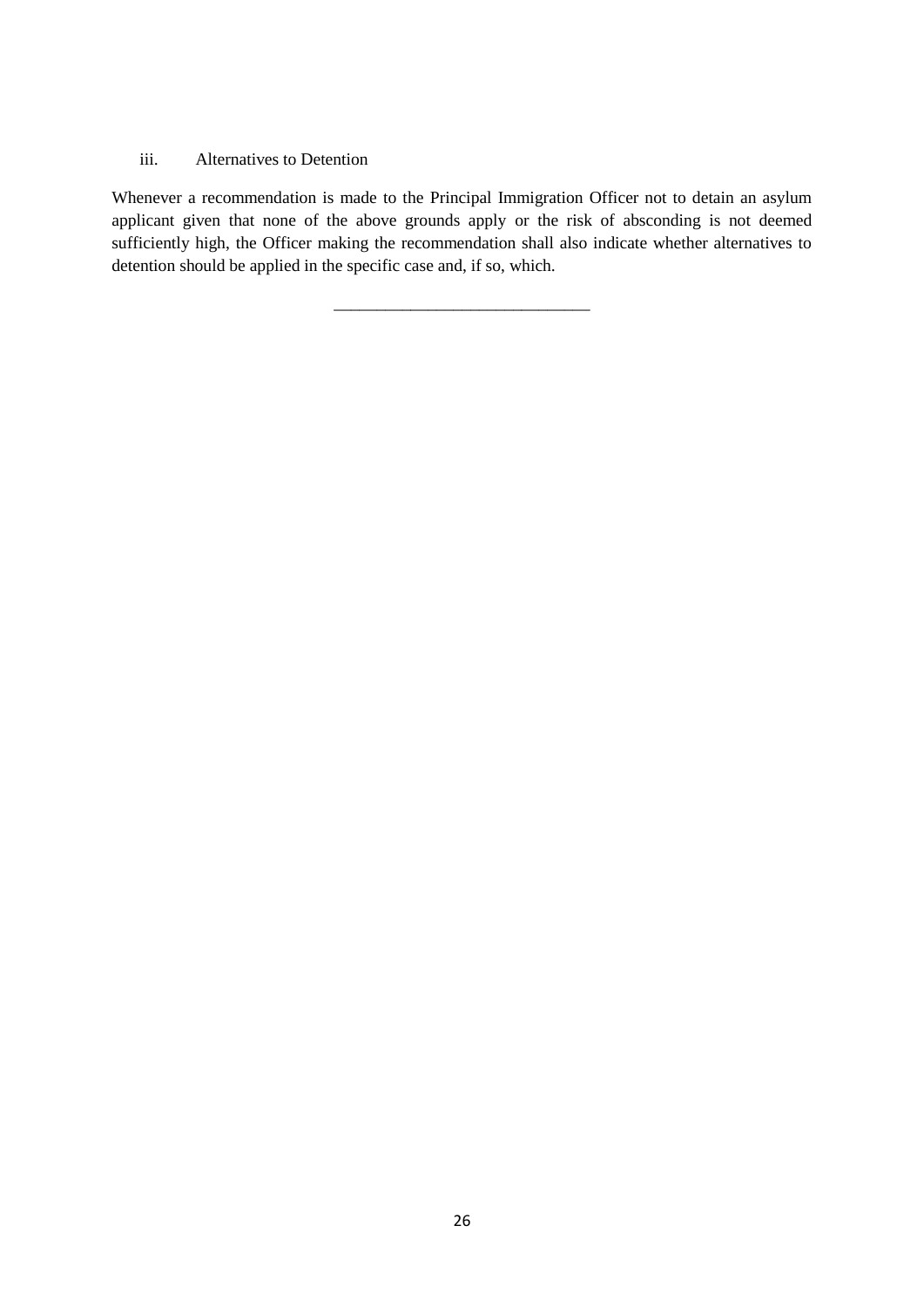#### iii. Alternatives to Detention

Whenever a recommendation is made to the Principal Immigration Officer not to detain an asylum applicant given that none of the above grounds apply or the risk of absconding is not deemed sufficiently high, the Officer making the recommendation shall also indicate whether alternatives to detention should be applied in the specific case and, if so, which.

\_\_\_\_\_\_\_\_\_\_\_\_\_\_\_\_\_\_\_\_\_\_\_\_\_\_\_\_\_\_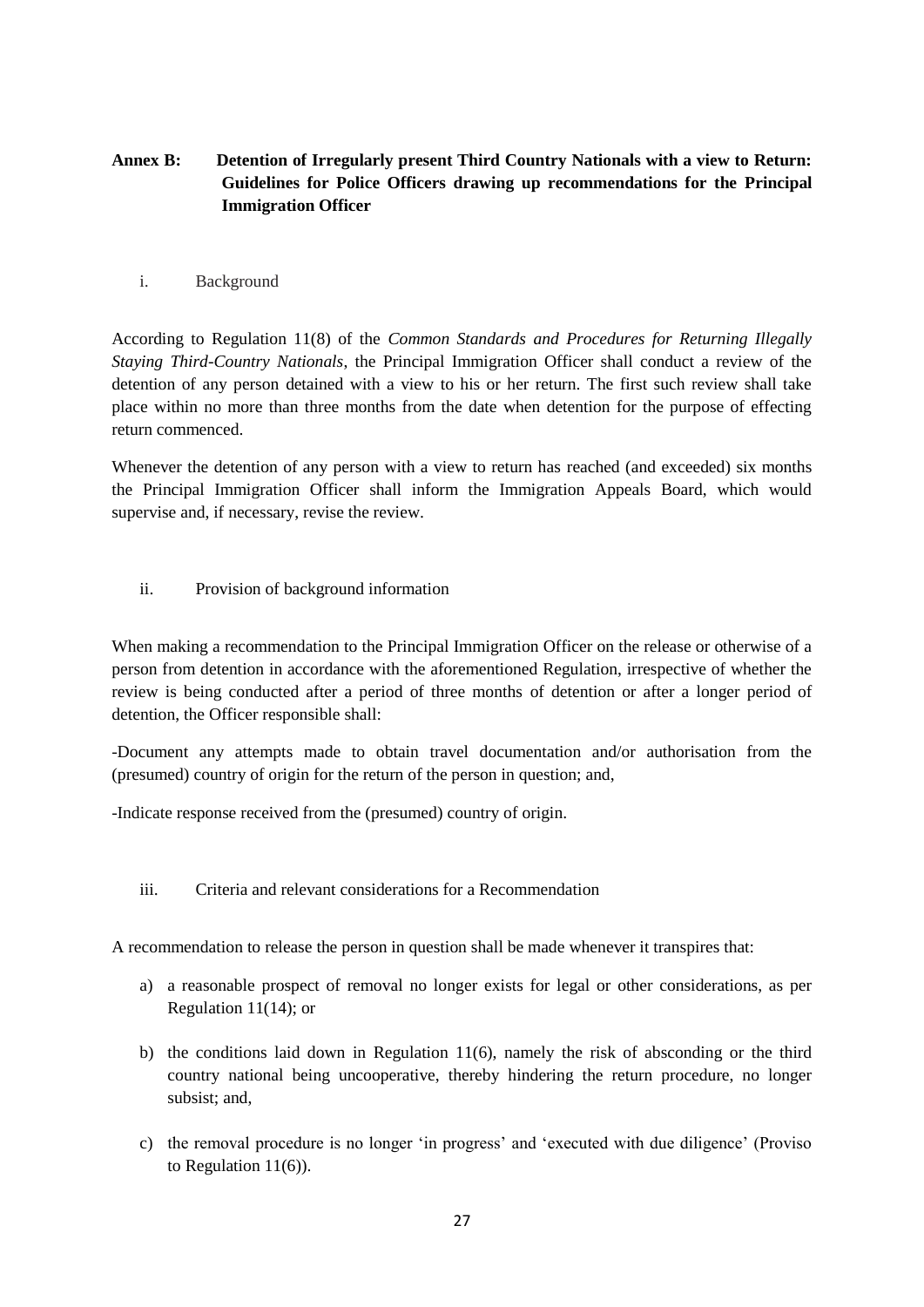# **Annex B: Detention of Irregularly present Third Country Nationals with a view to Return: Guidelines for Police Officers drawing up recommendations for the Principal Immigration Officer**

i. Background

According to Regulation 11(8) of the *Common Standards and Procedures for Returning Illegally Staying Third-Country Nationals*, the Principal Immigration Officer shall conduct a review of the detention of any person detained with a view to his or her return. The first such review shall take place within no more than three months from the date when detention for the purpose of effecting return commenced.

Whenever the detention of any person with a view to return has reached (and exceeded) six months the Principal Immigration Officer shall inform the Immigration Appeals Board, which would supervise and, if necessary, revise the review.

ii. Provision of background information

When making a recommendation to the Principal Immigration Officer on the release or otherwise of a person from detention in accordance with the aforementioned Regulation, irrespective of whether the review is being conducted after a period of three months of detention or after a longer period of detention, the Officer responsible shall:

-Document any attempts made to obtain travel documentation and/or authorisation from the (presumed) country of origin for the return of the person in question; and,

-Indicate response received from the (presumed) country of origin.

iii. Criteria and relevant considerations for a Recommendation

A recommendation to release the person in question shall be made whenever it transpires that:

- a) a reasonable prospect of removal no longer exists for legal or other considerations, as per Regulation 11(14); or
- b) the conditions laid down in Regulation 11(6), namely the risk of absconding or the third country national being uncooperative, thereby hindering the return procedure, no longer subsist; and,
- c) the removal procedure is no longer 'in progress' and 'executed with due diligence' (Proviso to Regulation 11(6)).